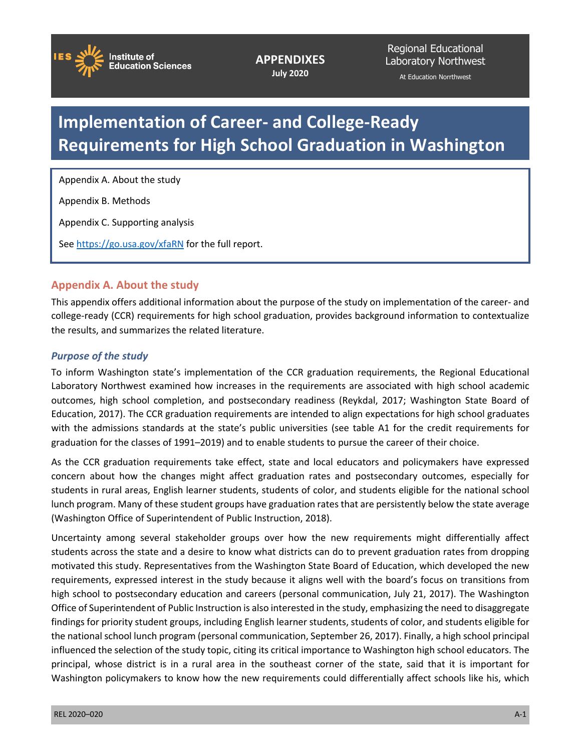

**APPENDIXES July 2020**

Regional Educational Laboratory Northwest At Education Norrthwest

### **Implementation of Career- and College-Ready Requirements for High School Graduation in Washington**

Appendix A. About the study

Appendix B. Methods

Appendix C. Supporting analysis

Se[e https://go.usa.gov/xfaRN](https://go.usa.gov/xfaRN) for the full report.

#### **Appendix A. About the study**

This appendix offers additional information about the purpose of the study on implementation of the career- and college-ready (CCR) requirements for high school graduation, provides background information to contextualize the results, and summarizes the related literature.

#### *Purpose of the study*

To inform Washington state's implementation of the CCR graduation requirements, the Regional Educational Laboratory Northwest examined how increases in the requirements are associated with high school academic outcomes, high school completion, and postsecondary readiness (Reykdal, 2017; Washington State Board of Education, 2017). The CCR graduation requirements are intended to align expectations for high school graduates with the admissions standards at the state's public universities (see table A1 for the credit requirements for graduation for the classes of 1991–2019) and to enable students to pursue the career of their choice.

As the CCR graduation requirements take effect, state and local educators and policymakers have expressed concern about how the changes might affect graduation rates and postsecondary outcomes, especially for students in rural areas, English learner students, students of color, and students eligible for the national school lunch program. Many of these student groups have graduation rates that are persistently below the state average (Washington Office of Superintendent of Public Instruction, 2018).

Uncertainty among several stakeholder groups over how the new requirements might differentially affect students across the state and a desire to know what districts can do to prevent graduation rates from dropping motivated this study. Representatives from the Washington State Board of Education, which developed the new requirements, expressed interest in the study because it aligns well with the board's focus on transitions from high school to postsecondary education and careers (personal communication, July 21, 2017). The Washington Office of Superintendent of Public Instruction is also interested in the study, emphasizing the need to disaggregate findings for priority student groups, including English learner students, students of color, and students eligible for the national school lunch program (personal communication, September 26, 2017). Finally, a high school principal influenced the selection of the study topic, citing its critical importance to Washington high school educators. The principal, whose district is in a rural area in the southeast corner of the state, said that it is important for Washington policymakers to know how the new requirements could differentially affect schools like his, which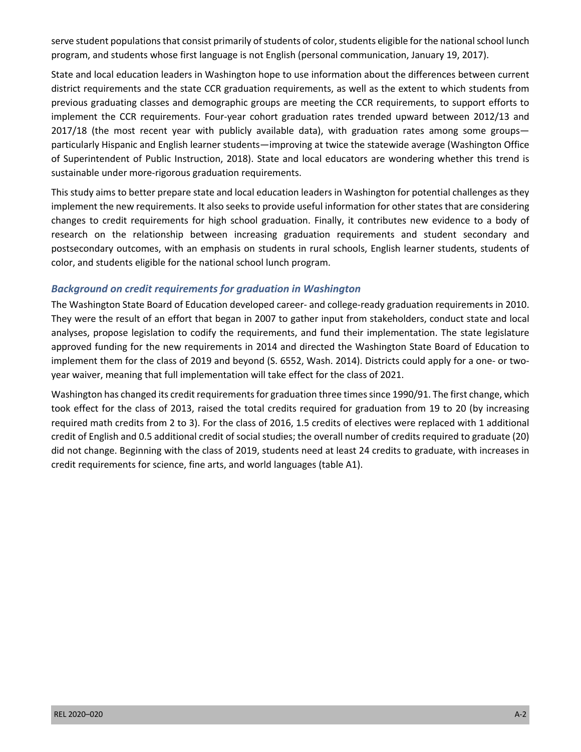serve student populations that consist primarily of students of color, students eligible for the national school lunch program, and students whose first language is not English (personal communication, January 19, 2017).

 State and local education leaders in Washington hope to use information about the differences between current district requirements and the state CCR graduation requirements, as well as the extent to which students from previous graduating classes and demographic groups are meeting the CCR requirements, to support efforts to implement the CCR requirements. Four-year cohort graduation rates trended upward between 2012/13 and 2017/18 (the most recent year with publicly available data), with graduation rates among some groups— particularly Hispanic and English learner students—improving at twice the statewide average (Washington Office of Superintendent of Public Instruction, 2018). State and local educators are wondering whether this trend is sustainable under more-rigorous graduation requirements.

 This study aims to better prepare state and local education leaders in Washington for potential challenges as they implement the new requirements. It also seeks to provide useful information for other states that are considering changes to credit requirements for high school graduation. Finally, it contributes new evidence to a body of color, and students eligible for the national school lunch program. research on the relationship between increasing graduation requirements and student secondary and postsecondary outcomes, with an emphasis on students in rural schools, English learner students, students of

#### *Background on credit requirements for graduation in Washington*

 The Washington State Board of Education developed career- and college-ready graduation requirements in 2010. They were the result of an effort that began in 2007 to gather input from stakeholders, conduct state and local analyses, propose legislation to codify the requirements, and fund their implementation. The state legislature approved funding for the new requirements in 2014 and directed the Washington State Board of Education to implement them for the class of 2019 and beyond (S. 6552, Wash. 2014). Districts could apply for a one- or two-year waiver, meaning that full implementation will take effect for the class of 2021.

 Washington has changed its credit requirements for graduation three times since 1990/91. The first change, which took effect for the class of 2013, raised the total credits required for graduation from 19 to 20 (by increasing required math credits from 2 to 3). For the class of 2016, 1.5 credits of electives were replaced with 1 additional credit of English and 0.5 additional credit of social studies; the overall number of credits required to graduate (20) did not change. Beginning with the class of 2019, students need at least 24 credits to graduate, with increases in credit requirements for science, fine arts, and world languages (table A1).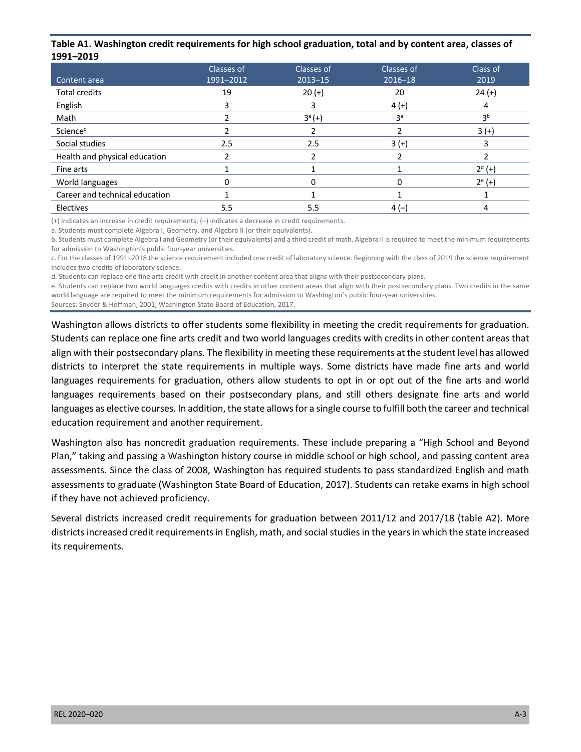#### **Table A1. Washington credit requirements for high school graduation, total and by content area, classes of 1991–2019**

|                                | Classes of | Classes of  | Classes of     | Class of       |
|--------------------------------|------------|-------------|----------------|----------------|
| Content area                   | 1991-2012  | $2013 - 15$ | $2016 - 18$    | 2019           |
| <b>Total credits</b>           | 19         | $20 (+)$    | 20             | $24 (+)$       |
| English                        |            | 3           | $4 (+)$        | 4              |
| Math                           |            | $3^a (+)$   | 3 <sup>a</sup> | 3 <sup>b</sup> |
| Science <sup>c</sup>           |            |             |                | $3 (+)$        |
| Social studies                 | 2.5        | 2.5         | $3 (+)$        | 3              |
| Health and physical education  |            |             |                |                |
| Fine arts                      |            |             |                | $2^{d} (+)$    |
| World languages                |            |             |                | $2^{e} (+)$    |
| Career and technical education |            |             |                |                |
| Electives                      | 5.5        | 5.5         | $4(-)$         | 4              |

(+) indicates an increase in credit requirements; (–) indicates a decrease in credit requirements.

a. Students must complete Algebra I, Geometry, and Algebra II (or their equivalents).

 b. Students must complete Algebra I and Geometry (or their equivalents) and a third credit of math. Algebra II is required to meet the minimum requirements for admission to Washington's public four-year universities.

 c. For the classes of 1991–2018 the science requirement included one credit of laboratory science. Beginning with the class of 2019 the science requirement includes two credits of laboratory science.

d. Students can replace one fine arts credit with credit in another content area that aligns with their postsecondary plans.

 e. Students can replace two world languages credits with credits in other content areas that align with their postsecondary plans. Two credits in the same world language are required to meet the minimum requirements for admission to Washington's public four-year universities.

Sources: Snyder & Hoffman, 2001; Washington State Board of Education, 2017.

 Washington allows districts to offer students some flexibility in meeting the credit requirements for graduation. Students can replace one fine arts credit and two world languages credits with credits in other content areas that align with their postsecondary plans. The flexibility in meeting these requirements at the student level has allowed districts to interpret the state requirements in multiple ways. Some districts have made fine arts and world languages requirements for graduation, others allow students to opt in or opt out of the fine arts and world languages requirements based on their postsecondary plans, and still others designate fine arts and world languages as elective courses. In addition, the state allows for a single course to fulfill both the career and technical education requirement and another requirement.

 Washington also has noncredit graduation requirements. These include preparing a "High School and Beyond Plan," taking and passing a Washington history course in middle school or high school, and passing content area assessments. Since the class of 2008, Washington has required students to pass standardized English and math assessments to graduate (Washington State Board of Education, 2017). Students can retake exams in high school if they have not achieved proficiency.

 Several districts increased credit requirements for graduation between 2011/12 and 2017/18 (table A2). More districts increased credit requirements in English, math, and social studies in the years in which the state increased its requirements.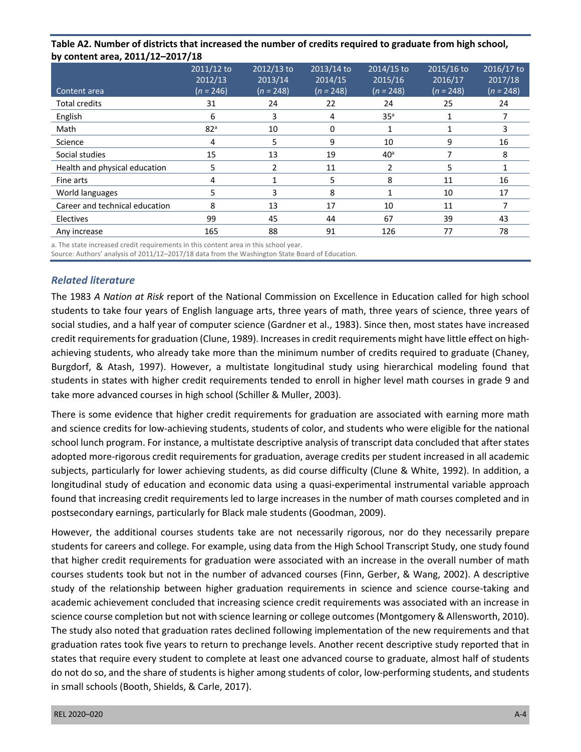|                                  | .                     | $\frac{1}{2}$         |                                 |                       |                       |                       |
|----------------------------------|-----------------------|-----------------------|---------------------------------|-----------------------|-----------------------|-----------------------|
| by content area, 2011/12-2017/18 |                       |                       |                                 |                       |                       |                       |
|                                  | 2011/12 to<br>2012/13 | 2012/13 to<br>2013/14 | 2013/14 to<br>$\frac{2014}{15}$ | 2014/15 to<br>2015/16 | 2015/16 to<br>2016/17 | 2016/17 to<br>2017/18 |
| Content area                     | $(n = 246)$           | $(n = 248)$           | $(n = 248)$                     | $(n = 248)$           | $(n = 248)$           | $(n = 248)$           |
| <b>Total credits</b>             | 31                    | 24                    | 22                              | 24                    | 25                    | 24                    |
| English                          | 6                     | 3                     | 4                               | 35 <sup>a</sup>       | 1                     |                       |
| Math                             | 82 <sup>a</sup>       | 10                    | 0                               |                       | 1                     | 3                     |
| Science                          | 4                     | 5                     | 9                               | 10                    | 9                     | 16                    |
| Social studies                   | 15                    | 13                    | 19                              | 40 <sup>a</sup>       | 7                     | 8                     |
| Health and physical education    | 5                     | 2                     | 11                              | 2                     | 5                     |                       |
| Fine arts                        | 4                     |                       | 5                               | 8                     | 11                    | 16                    |
| World languages                  | 5                     | 3                     | 8                               |                       | 10                    | 17                    |
| Career and technical education   | 8                     | 13                    | 17                              | 10                    | 11                    |                       |
| Electives                        | 99                    | 45                    | 44                              | 67                    | 39                    | 43                    |
| Any increase                     | 165                   | 88                    | 91                              | 126                   | 77                    | 78                    |

## **Table A2. Number of districts that increased the number of credits required to graduate from high school,**

a. The state increased credit requirements in this content area in this school year.

Source: Authors' analysis of 2011/12–2017/18 data from the Washington State Board of Education.

#### *Related literature*

 The 1983 *A Nation at Risk* report of the National Commission on Excellence in Education called for high school students to take four years of English language arts, three years of math, three years of science, three years of credit requirements for graduation (Clune, 1989). Increases in credit requirements might have little effect on high- achieving students, who already take more than the minimum number of credits required to graduate (Chaney, Burgdorf, & Atash, 1997). However, a multistate longitudinal study using hierarchical modeling found that students in states with higher credit requirements tended to enroll in higher level math courses in grade 9 and take more advanced courses in high school (Schiller & Muller, 2003). social studies, and a half year of computer science (Gardner et al., 1983). Since then, most states have increased

 There is some evidence that higher credit requirements for graduation are associated with earning more math and science credits for low-achieving students, students of color, and students who were eligible for the national school lunch program. For instance, a multistate descriptive analysis of transcript data concluded that after states subjects, particularly for lower achieving students, as did course difficulty (Clune & White, 1992). In addition, a longitudinal study of education and economic data using a quasi-experimental instrumental variable approach postsecondary earnings, particularly for Black male students (Goodman, 2009). adopted more-rigorous credit requirements for graduation, average credits per student increased in all academic found that increasing credit requirements led to large increases in the number of math courses completed and in

 However, the additional courses students take are not necessarily rigorous, nor do they necessarily prepare students for careers and college. For example, using data from the High School Transcript Study, one study found that higher credit requirements for graduation were associated with an increase in the overall number of math courses students took but not in the number of advanced courses (Finn, Gerber, & Wang, 2002). A descriptive study of the relationship between higher graduation requirements in science and science course-taking and academic achievement concluded that increasing science credit requirements was associated with an increase in science course completion but not with science learning or college outcomes (Montgomery & Allensworth, 2010). The study also noted that graduation rates declined following implementation of the new requirements and that graduation rates took five years to return to prechange levels. Another recent descriptive study reported that in states that require every student to complete at least one advanced course to graduate, almost half of students do not do so, and the share of students is higher among students of color, low-performing students, and students in small schools (Booth, Shields, & Carle, 2017).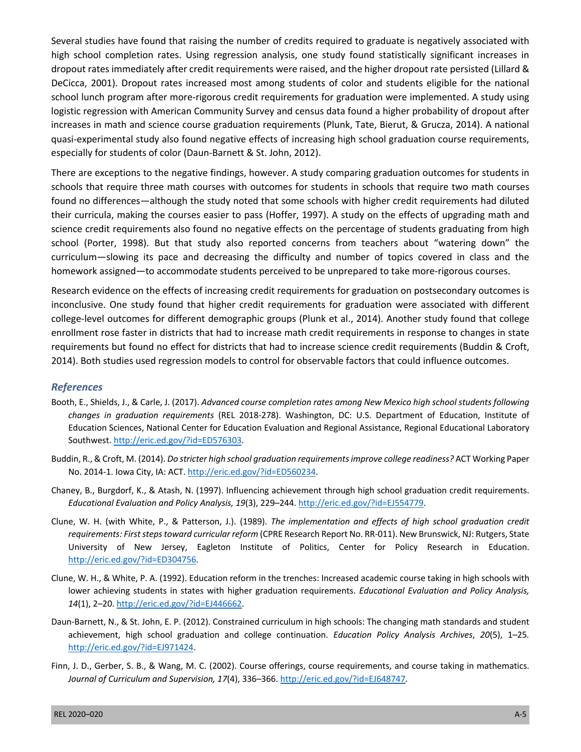high school completion rates. Using regression analysis, one study found statistically significant increases in dropout rates immediately after credit requirements were raised, and the higher dropout rate persisted (Lillard & DeCicca, 2001). Dropout rates increased most among students of color and students eligible for the national school lunch program after more-rigorous credit requirements for graduation were implemented. A study using logistic regression with American Community Survey and census data found a higher probability of dropout after increases in math and science course graduation requirements (Plunk, Tate, Bierut, & Grucza, 2014). A national quasi-experimental study also found negative effects of increasing high school graduation course requirements, especially for students of color (Daun-Barnett & St. John, 2012). Several studies have found that raising the number of credits required to graduate is negatively associated with

 There are exceptions to the negative findings, however. A study comparing graduation outcomes for students in schools that require three math courses with outcomes for students in schools that require two math courses found no differences—although the study noted that some schools with higher credit requirements had diluted their curricula, making the courses easier to pass (Hoffer, 1997). A study on the effects of upgrading math and science credit requirements also found no negative effects on the percentage of students graduating from high school (Porter, 1998). But that study also reported concerns from teachers about "watering down" the curriculum—slowing its pace and decreasing the difficulty and number of topics covered in class and the homework assigned—to accommodate students perceived to be unprepared to take more-rigorous courses.

 Research evidence on the effects of increasing credit requirements for graduation on postsecondary outcomes is inconclusive. One study found that higher credit requirements for graduation were associated with different college-level outcomes for different demographic groups (Plunk et al., 2014). Another study found that college enrollment rose faster in districts that had to increase math credit requirements in response to changes in state requirements but found no effect for districts that had to increase science credit requirements (Buddin & Croft, 2014). Both studies used regression models to control for observable factors that could influence outcomes.

#### *References*

- Booth, E., Shields, J., & Carle, J. (2017). *Advanced course completion rates among New Mexico high school students following changes in graduation requirements* (REL 2018-278). Washington, DC: U.S. Department of Education, Institute of Education Sciences, National Center for Education Evaluation and Regional Assistance, Regional Educational Laboratory Southwest. [http://eric.ed.gov/?id=ED576303.](http://eric.ed.gov/?id=ED576303)
- Buddin, R., & Croft, M. (2014). *Do stricter high school graduation requirements improve college readiness?* ACT Working Paper No. 2014-1. Iowa City, IA: ACT. [http://eric.ed.gov/?id=ED560234.](http://eric.ed.gov/?id=ED560234)
- Chaney, B., Burgdorf, K., & Atash, N. (1997). Influencing achievement through high school graduation credit requirements. *Educational Evaluation and Policy Analysis, 19*(3), 229–244. [http://eric.ed.gov/?id=EJ554779.](http://eric.ed.gov/?id=EJ554779)
- Clune, W. H. (with White, P., & Patterson, J.). (1989). *The implementation and effects of high school graduation credit requirements: First steps toward curricular reform* (CPRE Research Report No. RR-011). New Brunswick, NJ: Rutgers, State University of New Jersey, Eagleton Institute of Politics, Center for Policy Research in Education. [http://eric.ed.gov/?id=ED304756.](http://eric.ed.gov/?id=ED304756)
- Clune, W. H., & White, P. A. (1992). Education reform in the trenches: Increased academic course taking in high schools with lower achieving students in states with higher graduation requirements. *Educational Evaluation and Policy Analysis, 14*(1), 2–20. [http://eric.ed.gov/?id=EJ446662.](http://eric.ed.gov/?id=EJ446662)
- Daun-Barnett, N., & St. John, E. P. (2012). Constrained curriculum in high schools: The changing math standards and student achievement, high school graduation and college continuation. *Education Policy Analysis Archives*, *20*(5), 1–25*.*  [http://eric.ed.gov/?id=EJ971424.](http://eric.ed.gov/?id=EJ971424)
- Finn, J. D., Gerber, S. B., & Wang, M. C. (2002). Course offerings, course requirements, and course taking in mathematics.  *Journal of Curriculum and Supervision, 17*(4), 336–366.<http://eric.ed.gov/?id=EJ648747>.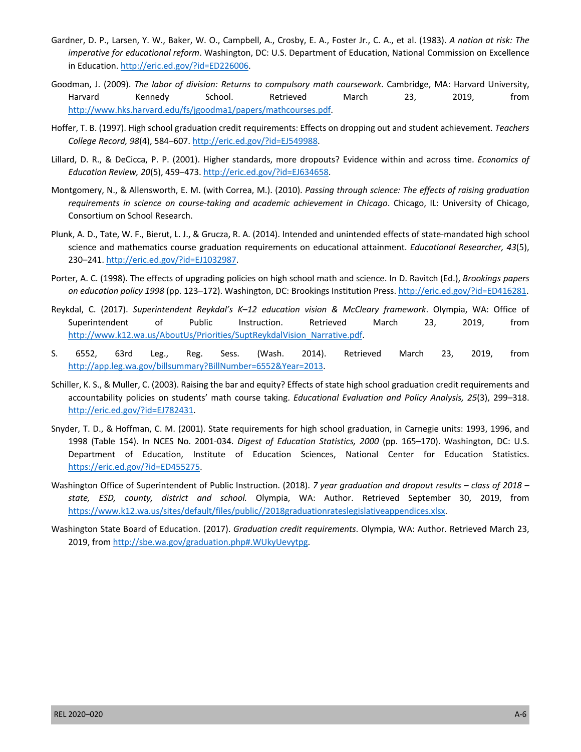- Gardner, D. P., Larsen, Y. W., Baker, W. O., Campbell, A., Crosby, E. A., Foster Jr., C. A., et al. (1983). *A nation at risk: The imperative for educational reform*. Washington, DC: U.S. Department of Education, National Commission on Excellence in Education.<http://eric.ed.gov/?id=ED226006>.
- Goodman, J. (2009). *The labor of division: Returns to compulsory math coursework*. Cambridge, MA: Harvard University, March Harvard Kennedy School. Retrieved March 23, 2019, from [http://www.hks.harvard.edu/fs/jgoodma1/papers/mathcourses.pdf.](http://www.hks.harvard.edu/fs/jgoodma1/papers/mathcourses.pdf)
- Hoffer, T. B. (1997). High school graduation credit requirements: Effects on dropping out and student achievement. *Teachers College Record, 98*(4), 584–607. [http://eric.ed.gov/?id=EJ549988.](http://eric.ed.gov/?id=EJ549988)
- Lillard, D. R., & DeCicca, P. P. (2001). Higher standards, more dropouts? Evidence within and across time. *Economics of Education Review, 20*(5), 459–473.<http://eric.ed.gov/?id=EJ634658>.
- Montgomery, N., & Allensworth, E. M. (with Correa, M.). (2010). *Passing through science: The effects of raising graduation requirements in science on course-taking and academic achievement in Chicago*. Chicago, IL: University of Chicago, Consortium on School Research.
- Plunk, A. D., Tate, W. F., Bierut, L. J., & Grucza, R. A. (2014). Intended and unintended effects of state-mandated high school science and mathematics course graduation requirements on educational attainment. *Educational Researcher, 43*(5), 230–241.<http://eric.ed.gov/?id=EJ1032987>.
- Porter, A. C. (1998). The effects of upgrading policies on high school math and science. In D. Ravitch (Ed.), *Brookings papers on education policy 1998* (pp. 123–172). Washington, DC: Brookings Institution Press. [http://eric.ed.gov/?id=ED416281.](http://eric.ed.gov/?id=ED416281)
- Reykdal, C. (2017). *Superintendent Reykdal's K–12 education vision & McCleary framework*. Olympia, WA: Office of Superintendent of Public Instruction. Retrieved March 23, 2019, from [http://www.k12.wa.us/AboutUs/Priorities/SuptReykdalVision\\_Narrative.pdf.](http://www.k12.wa.us/AboutUs/Priorities/SuptReykdalVision_Narrative.pdf)<br>6552, 63rd Leg., Reg. Sess. (Wash. 2014). Retrieved March 23, 2019, from
- S. http://app.leg.wa.gov/billsummary?BillNumber=6552&Year=2013. [http://app.leg.wa.gov/billsummary?BillNumber=6552&Year=2013.](http://app.leg.wa.gov/billsummary?BillNumber=6552&Year=2013)<br>Schiller, K. S., & Muller, C. (2003). Raising the bar and equity? Effects of state high school graduation credit requirements and
- accountability policies on students' math course taking. *Educational Evaluation and Policy Analysis, 25*(3), 299–318. http://eric.ed.gov/?id=EJ782431.
- [http://eric.ed.gov/?id=EJ782431.](http://eric.ed.gov/?id=EJ782431)<br>Snyder, T. D., & Hoffman, C. M. (2001). State requirements for high school graduation, in Carnegie units: 1993, 1996, and 1998 (Table 154). In NCES No. 2001-034. *Digest of Education Statistics, 2000* (pp. 165–170). Washington, DC: U.S. Department of Education, Institute of Education Sciences, National Center for Education Statistics. [https://eric.ed.gov/?id=ED455275.](https://eric.ed.gov/?id=ED455275)
- Washington Office of Superintendent of Public Instruction. (2018). *7 year graduation and dropout results class of 2018 state, ESD, county, district and school.* Olympia, WA: Author. Retrieved September 30, 2019, from <https://www.k12.wa.us/sites/default/files/public//2018graduationrateslegislativeappendices.xlsx>.
- Washington State Board of Education. (2017). *Graduation credit requirements*. Olympia, WA: Author. Retrieved March 23, 2019, from [http://sbe.wa.gov/graduation.php#.WUkyUevytpg.](http://sbe.wa.gov/graduation.php#.WUkyUevytpg)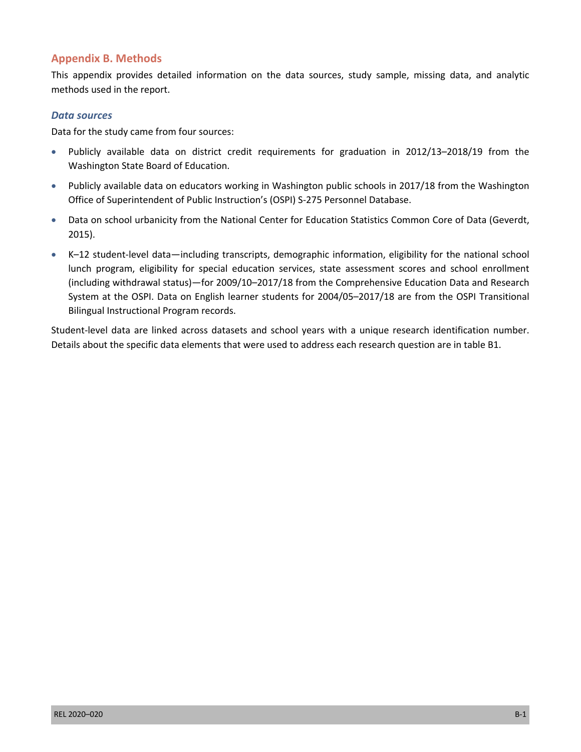#### **Appendix B. Methods**

 This appendix provides detailed information on the data sources, study sample, missing data, and analytic methods used in the report.

#### *Data sources*

Data for the study came from four sources:

- • Publicly available data on district credit requirements for graduation in 2012/13–2018/19 from the Washington State Board of Education.
- Publicly available data on educators working in Washington public schools in 2017/18 from the Washington Office of Superintendent of Public Instruction's (OSPI) S-275 Personnel Database.
- Data on school urbanicity from the National Center for Education Statistics Common Core of Data (Geverdt, 2015).
- • K–12 student-level data—including transcripts, demographic information, eligibility for the national school System at the OSPI. Data on English learner students for 2004/05–2017/18 are from the OSPI Transitional Bilingual Instructional Program records. lunch program, eligibility for special education services, state assessment scores and school enrollment (including withdrawal status)—for 2009/10–2017/18 from the Comprehensive Education Data and Research

 Student-level data are linked across datasets and school years with a unique research identification number. Details about the specific data elements that were used to address each research question are in table B1.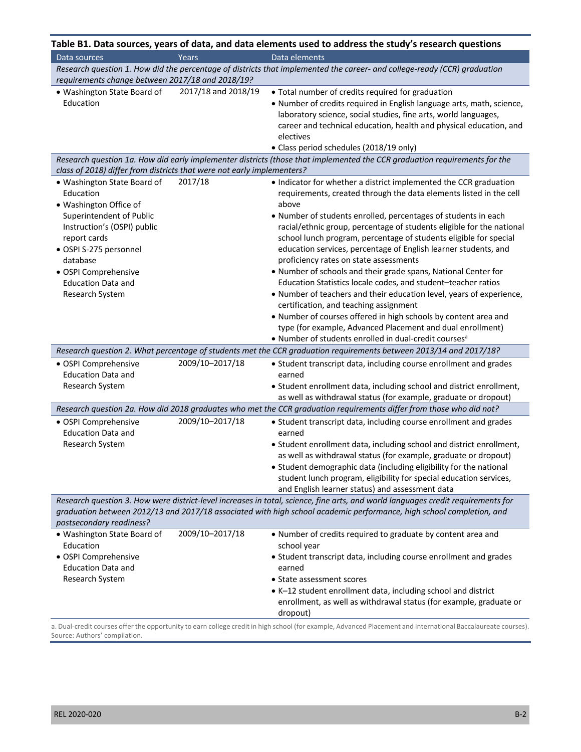|                                                                                                       |                     | Table B1. Data sources, years of data, and data elements used to address the study's research questions                                                                                                                                                                             |
|-------------------------------------------------------------------------------------------------------|---------------------|-------------------------------------------------------------------------------------------------------------------------------------------------------------------------------------------------------------------------------------------------------------------------------------|
| Data sources                                                                                          | Years               | Data elements                                                                                                                                                                                                                                                                       |
|                                                                                                       |                     | Research question 1. How did the percentage of districts that implemented the career- and college-ready (CCR) graduation                                                                                                                                                            |
| requirements change between 2017/18 and 2018/19?                                                      |                     |                                                                                                                                                                                                                                                                                     |
| · Washington State Board of<br>Education                                                              | 2017/18 and 2018/19 | • Total number of credits required for graduation<br>• Number of credits required in English language arts, math, science,<br>laboratory science, social studies, fine arts, world languages,<br>career and technical education, health and physical education, and<br>electives    |
|                                                                                                       |                     | • Class period schedules (2018/19 only)                                                                                                                                                                                                                                             |
|                                                                                                       |                     | Research question 1a. How did early implementer districts (those that implemented the CCR graduation requirements for the                                                                                                                                                           |
| class of 2018) differ from districts that were not early implementers?<br>• Washington State Board of | 2017/18             | • Indicator for whether a district implemented the CCR graduation                                                                                                                                                                                                                   |
| Education<br>· Washington Office of<br>Superintendent of Public<br>Instruction's (OSPI) public        |                     | requirements, created through the data elements listed in the cell<br>above<br>. Number of students enrolled, percentages of students in each<br>racial/ethnic group, percentage of students eligible for the national                                                              |
| report cards<br>· OSPI S-275 personnel<br>database<br>· OSPI Comprehensive                            |                     | school lunch program, percentage of students eligible for special<br>education services, percentage of English learner students, and<br>proficiency rates on state assessments<br>• Number of schools and their grade spans, National Center for                                    |
| <b>Education Data and</b><br>Research System                                                          |                     | Education Statistics locale codes, and student-teacher ratios<br>. Number of teachers and their education level, years of experience,<br>certification, and teaching assignment                                                                                                     |
|                                                                                                       |                     | . Number of courses offered in high schools by content area and<br>type (for example, Advanced Placement and dual enrollment)<br>• Number of students enrolled in dual-credit courses <sup>a</sup>                                                                                  |
|                                                                                                       |                     | Research question 2. What percentage of students met the CCR graduation requirements between 2013/14 and 2017/18?                                                                                                                                                                   |
| · OSPI Comprehensive<br><b>Education Data and</b>                                                     | 2009/10-2017/18     | • Student transcript data, including course enrollment and grades<br>earned                                                                                                                                                                                                         |
| Research System                                                                                       |                     | • Student enrollment data, including school and district enrollment,<br>as well as withdrawal status (for example, graduate or dropout)                                                                                                                                             |
|                                                                                                       |                     | Research question 2a. How did 2018 graduates who met the CCR graduation requirements differ from those who did not?                                                                                                                                                                 |
| • OSPI Comprehensive<br><b>Education Data and</b>                                                     | 2009/10-2017/18     | • Student transcript data, including course enrollment and grades<br>earned                                                                                                                                                                                                         |
| Research System                                                                                       |                     | • Student enrollment data, including school and district enrollment,<br>as well as withdrawal status (for example, graduate or dropout)<br>• Student demographic data (including eligibility for the national<br>student lunch program, eligibility for special education services, |
|                                                                                                       |                     | and English learner status) and assessment data                                                                                                                                                                                                                                     |
| postsecondary readiness?                                                                              |                     | Research question 3. How were district-level increases in total, science, fine arts, and world languages credit requirements for<br>graduation between 2012/13 and 2017/18 associated with high school academic performance, high school completion, and                            |
| • Washington State Board of<br>Education<br>· OSPI Comprehensive<br><b>Education Data and</b>         | 2009/10-2017/18     | • Number of credits required to graduate by content area and<br>school year<br>• Student transcript data, including course enrollment and grades<br>earned                                                                                                                          |
| Research System                                                                                       |                     | • State assessment scores<br>• K-12 student enrollment data, including school and district<br>enrollment, as well as withdrawal status (for example, graduate or<br>dropout)                                                                                                        |
|                                                                                                       |                     | a. Dual-credit courses offer the opportunity to earn college credit in high school (for example, Advanced Placement and International Baccalaureate courses).                                                                                                                       |

a. Dual-credit courses offer the opportunity to earn college credit in high school (for example, Advanced Placement and International Baccalaureate courses). Source: Authors' compilation.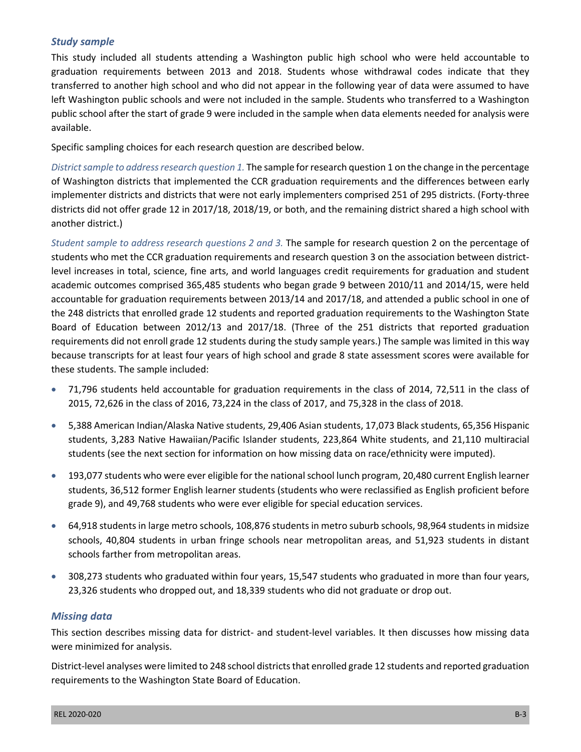#### *Study sample*

 This study included all students attending a Washington public high school who were held accountable to graduation requirements between 2013 and 2018. Students whose withdrawal codes indicate that they transferred to another high school and who did not appear in the following year of data were assumed to have left Washington public schools and were not included in the sample. Students who transferred to a Washington public school after the start of grade 9 were included in the sample when data elements needed for analysis were available.

Specific sampling choices for each research question are described below.

 *District sample to address research question 1.* The sample for research question 1 on the change in the percentage of Washington districts that implemented the CCR graduation requirements and the differences between early implementer districts and districts that were not early implementers comprised 251 of 295 districts. (Forty-three districts did not offer grade 12 in 2017/18, 2018/19, or both, and the remaining district shared a high school with another district.)

 *Student sample to address research questions 2 and 3.* The sample for research question 2 on the percentage of students who met the CCR graduation requirements and research question 3 on the association between district- level increases in total, science, fine arts, and world languages credit requirements for graduation and student academic outcomes comprised 365,485 students who began grade 9 between 2010/11 and 2014/15, were held accountable for graduation requirements between 2013/14 and 2017/18, and attended a public school in one of the 248 districts that enrolled grade 12 students and reported graduation requirements to the Washington State Board of Education between 2012/13 and 2017/18. (Three of the 251 districts that reported graduation requirements did not enroll grade 12 students during the study sample years.) The sample was limited in this way because transcripts for at least four years of high school and grade 8 state assessment scores were available for these students. The sample included:

- 2015, 72,626 in the class of 2016, 73,224 in the class of 2017, and 75,328 in the class of 2018. 71,796 students held accountable for graduation requirements in the class of 2014, 72,511 in the class of
- • 5,388 American Indian/Alaska Native students, 29,406 Asian students, 17,073 Black students, 65,356 Hispanic students, 3,283 Native Hawaiian/Pacific Islander students, 223,864 White students, and 21,110 multiracial students (see the next section for information on how missing data on race/ethnicity were imputed).
- • 193,077 students who were ever eligible for the national school lunch program, 20,480 current English learner students, 36,512 former English learner students (students who were reclassified as English proficient before grade 9), and 49,768 students who were ever eligible for special education services.
- • 64,918 students in large metro schools, 108,876 students in metro suburb schools, 98,964 students in midsize schools, 40,804 students in urban fringe schools near metropolitan areas, and 51,923 students in distant schools farther from metropolitan areas.
- 308,273 students who graduated within four years, 15,547 students who graduated in more than four years, 23,326 students who dropped out, and 18,339 students who did not graduate or drop out.

#### *Missing data*

 This section describes missing data for district- and student-level variables. It then discusses how missing data were minimized for analysis.

 requirements to the Washington State Board of Education. District-level analyses were limited to 248 school districts that enrolled grade 12 students and reported graduation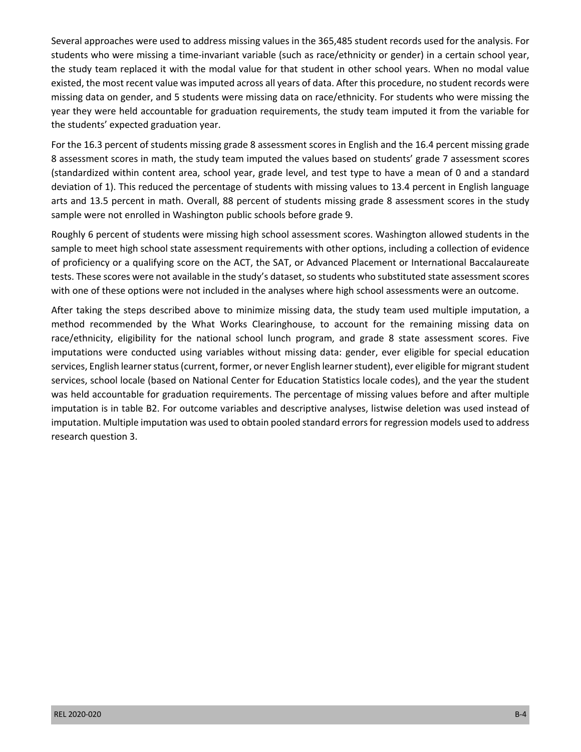Several approaches were used to address missing values in the 365,485 student records used for the analysis. For students who were missing a time-invariant variable (such as race/ethnicity or gender) in a certain school year, the study team replaced it with the modal value for that student in other school years. When no modal value existed, the most recent value was imputed across all years of data. After this procedure, no student records were missing data on gender, and 5 students were missing data on race/ethnicity. For students who were missing the year they were held accountable for graduation requirements, the study team imputed it from the variable for the students' expected graduation year.

 For the 16.3 percent of students missing grade 8 assessment scores in English and the 16.4 percent missing grade 8 assessment scores in math, the study team imputed the values based on students' grade 7 assessment scores (standardized within content area, school year, grade level, and test type to have a mean of 0 and a standard deviation of 1). This reduced the percentage of students with missing values to 13.4 percent in English language arts and 13.5 percent in math. Overall, 88 percent of students missing grade 8 assessment scores in the study sample were not enrolled in Washington public schools before grade 9.

 Roughly 6 percent of students were missing high school assessment scores. Washington allowed students in the sample to meet high school state assessment requirements with other options, including a collection of evidence of proficiency or a qualifying score on the ACT, the SAT, or Advanced Placement or International Baccalaureate tests. These scores were not available in the study's dataset, so students who substituted state assessment scores with one of these options were not included in the analyses where high school assessments were an outcome.

 After taking the steps described above to minimize missing data, the study team used multiple imputation, a method recommended by the What Works Clearinghouse, to account for the remaining missing data on race/ethnicity, eligibility for the national school lunch program, and grade 8 state assessment scores. Five imputations were conducted using variables without missing data: gender, ever eligible for special education services, school locale (based on National Center for Education Statistics locale codes), and the year the student was held accountable for graduation requirements. The percentage of missing values before and after multiple imputation is in table B2. For outcome variables and descriptive analyses, listwise deletion was used instead of imputation. Multiple imputation was used to obtain pooled standard errors for regression models used to address services, English learner status (current, former, or never English learner student), ever eligible for migrant student research question 3.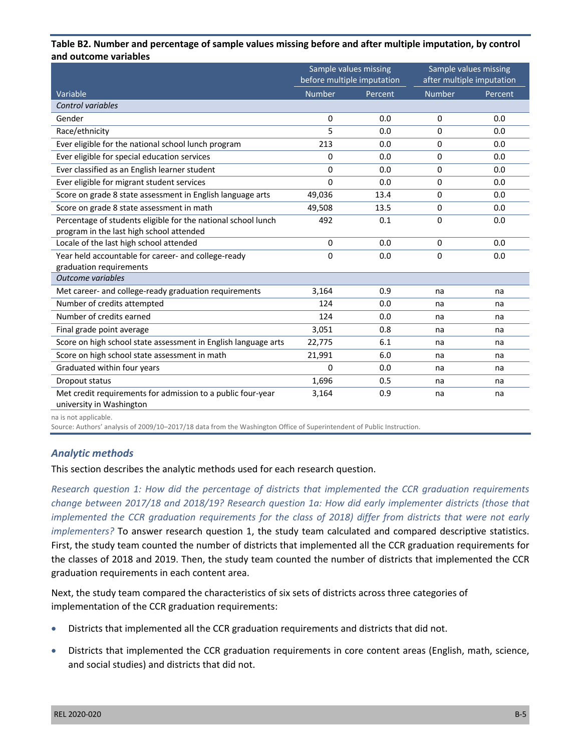#### **Table B2. Number and percentage of sample values missing before and after multiple imputation, by control and outcome variables**

|                                                                |               | Sample values missing<br>before multiple imputation |               | Sample values missing<br>after multiple imputation |
|----------------------------------------------------------------|---------------|-----------------------------------------------------|---------------|----------------------------------------------------|
| Variable                                                       | <b>Number</b> | Percent                                             | <b>Number</b> | Percent                                            |
| Control variables                                              |               |                                                     |               |                                                    |
| Gender                                                         | 0             | 0.0                                                 | 0             | 0.0                                                |
| Race/ethnicity                                                 | 5             | 0.0                                                 | $\Omega$      | 0.0                                                |
| Ever eligible for the national school lunch program            | 213           | 0.0                                                 | 0             | 0.0                                                |
| Ever eligible for special education services                   | 0             | 0.0                                                 | $\Omega$      | 0.0                                                |
| Ever classified as an English learner student                  | $\Omega$      | 0.0                                                 | 0             | 0.0                                                |
| Ever eligible for migrant student services                     | $\Omega$      | 0.0                                                 | $\mathbf 0$   | 0.0                                                |
| Score on grade 8 state assessment in English language arts     | 49,036        | 13.4                                                | $\Omega$      | 0.0                                                |
| Score on grade 8 state assessment in math                      | 49,508        | 13.5                                                | 0             | 0.0                                                |
| Percentage of students eligible for the national school lunch  | 492           | 0.1                                                 | $\Omega$      | 0.0                                                |
| program in the last high school attended                       |               |                                                     |               |                                                    |
| Locale of the last high school attended                        | $\mathbf 0$   | 0.0                                                 | $\mathbf 0$   | 0.0                                                |
| Year held accountable for career- and college-ready            | $\Omega$      | 0.0                                                 | $\Omega$      | 0.0                                                |
| graduation requirements                                        |               |                                                     |               |                                                    |
| <b>Outcome variables</b>                                       |               |                                                     |               |                                                    |
| Met career- and college-ready graduation requirements          | 3,164         | 0.9                                                 | na            | na                                                 |
| Number of credits attempted                                    | 124           | 0.0                                                 | na            | na                                                 |
| Number of credits earned                                       | 124           | 0.0                                                 | na            | na                                                 |
| Final grade point average                                      | 3,051         | 0.8                                                 | na            | na                                                 |
| Score on high school state assessment in English language arts | 22,775        | 6.1                                                 | na            | na                                                 |
| Score on high school state assessment in math                  | 21,991        | 6.0                                                 | na            | na                                                 |
| Graduated within four years                                    | 0             | 0.0                                                 | na            | na                                                 |
| Dropout status                                                 | 1,696         | 0.5                                                 | na            | na                                                 |
| Met credit requirements for admission to a public four-year    | 3,164         | 0.9                                                 | na            | na                                                 |
| university in Washington                                       |               |                                                     |               |                                                    |

na is not applicable.

Source: Authors' analysis of 2009/10–2017/18 data from the Washington Office of Superintendent of Public Instruction.

#### *Analytic methods*

This section describes the analytic methods used for each research question.

 *Research question 1: How did the percentage of districts that implemented the CCR graduation requirements change between 2017/18 and 2018/19? Research question 1a: How did early implementer districts (those that implemented the CCR graduation requirements for the class of 2018) differ from districts that were not early*  First, the study team counted the number of districts that implemented all the CCR graduation requirements for the classes of 2018 and 2019. Then, the study team counted the number of districts that implemented the CCR graduation requirements in each content area. *implementers?* To answer research question 1, the study team calculated and compared descriptive statistics.

 Next, the study team compared the characteristics of six sets of districts across three categories of implementation of the CCR graduation requirements:

- Districts that implemented all the CCR graduation requirements and districts that did not.
- Districts that implemented the CCR graduation requirements in core content areas (English, math, science, and social studies) and districts that did not.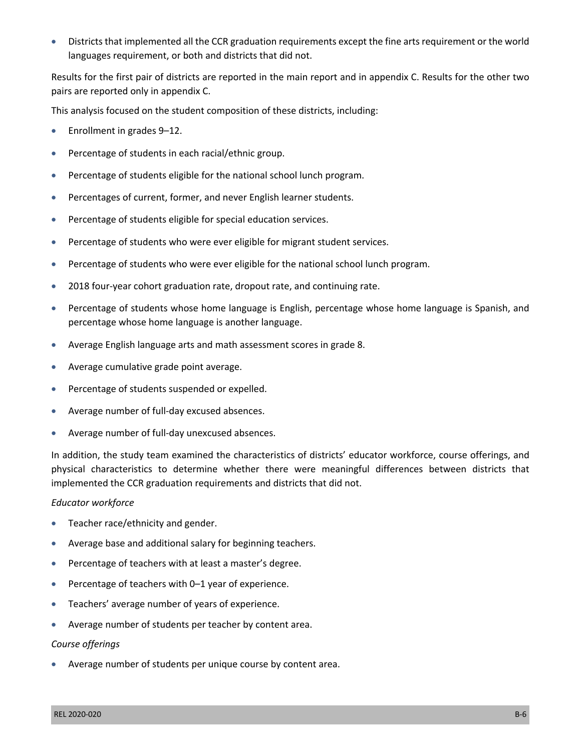• Districts that implemented all the CCR graduation requirements except the fine arts requirement or the world languages requirement, or both and districts that did not.

 Results for the first pair of districts are reported in the main report and in appendix C. Results for the other two pairs are reported only in appendix C.

This analysis focused on the student composition of these districts, including:

- Enrollment in grades 9-12.
- Percentage of students in each racial/ethnic group.
- Percentage of students eligible for the national school lunch program.
- Percentages of current, former, and never English learner students.
- • Percentage of students eligible for special education services.
- • Percentage of students who were ever eligible for migrant student services.
- Percentage of students who were ever eligible for the national school lunch program.
- 2018 four-year cohort graduation rate, dropout rate, and continuing rate.
- Percentage of students whose home language is English, percentage whose home language is Spanish, and percentage whose home language is another language.
- Average English language arts and math assessment scores in grade 8.
- • Average cumulative grade point average.
- Percentage of students suspended or expelled.
- • Average number of full-day excused absences.
- • Average number of full-day unexcused absences.

 In addition, the study team examined the characteristics of districts' educator workforce, course offerings, and physical characteristics to determine whether there were meaningful differences between districts that implemented the CCR graduation requirements and districts that did not.

#### *Educator workforce*

- Teacher race/ethnicity and gender.
- Average base and additional salary for beginning teachers.
- Percentage of teachers with at least a master's degree.
- • Percentage of teachers with 0–1 year of experience.
- Teachers' average number of years of experience.
- Average number of students per teacher by content area.

#### *Course offerings*

• Average number of students per unique course by content area.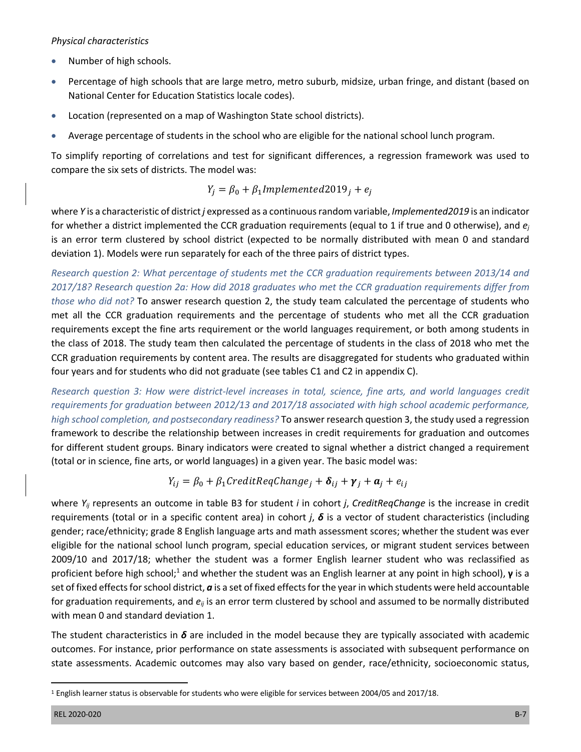#### *Physical characteristics*

- • Number of high schools.
- Percentage of high schools that are large metro, metro suburb, midsize, urban fringe, and distant (based on National Center for Education Statistics locale codes).
- Location (represented on a map of Washington State school districts).
- • Average percentage of students in the school who are eligible for the national school lunch program.

 To simplify reporting of correlations and test for significant differences, a regression framework was used to compare the six sets of districts. The model was:

$$
Y_j = \beta_0 + \beta_1 Implemented2019_j + e_j
$$

 where *Y* is a characteristic of district *j* expressed as a continuous random variable, *Implemented2019* is an indicator for whether a district implemented the CCR graduation requirements (equal to 1 if true and 0 otherwise), and *ej* is an error term clustered by school district (expected to be normally distributed with mean 0 and standard deviation 1). Models were run separately for each of the three pairs of district types.

 *Research question 2: What percentage of students met the CCR graduation requirements between 2013/14 and 2017/18? Research question 2a: How did 2018 graduates who met the CCR graduation requirements differ from those who did not?* To answer research question 2, the study team calculated the percentage of students who met all the CCR graduation requirements and the percentage of students who met all the CCR graduation requirements except the fine arts requirement or the world languages requirement, or both among students in the class of 2018. The study team then calculated the percentage of students in the class of 2018 who met the CCR graduation requirements by content area. The results are disaggregated for students who graduated within four years and for students who did not graduate (see tables C1 and C2 in appendix C).

Research question 3: How were district-level increases in total, science, fine arts, and world languages credit framework to describe the relationship between increases in credit requirements for graduation and outcomes for different student groups. Binary indicators were created to signal whether a district changed a requirement (total or in science, fine arts, or world languages) in a given year. The basic model was: *requirements for graduation between 2012/13 and 2017/18 associated with high school academic performance, high school completion, and postsecondary readiness?* To answer research question 3, the study used a regression

$$
Y_{ij} = \beta_0 + \beta_1 Credit \text{RegChange}_j + \delta_{ij} + \gamma_j + a_j + e_{ij}
$$

 where *Yij* represents an outcome in table B3 for student *i* in cohort *j*, *CreditReqChange* is the increase in credit requirements (total or in a specific content area) in cohort *j*, *δ* is a vector of student characteristics (including gender; race/ethnicity; grade 8 English language arts and math assessment scores; whether the student was ever eligible for the national school lunch program, special education services, or migrant student services between 2009/10 and 2017/18; whether the student was a former English learner student who was reclassified as proficient before high school;<sup>1</sup> and whether the student was an English learner at any point in high school), **γ** is a set of fixed effects for school district, *a* is a set of fixed effects for the year in which students were held accountable for graduation requirements, and *eij* is an error term clustered by school and assumed to be normally distributed with mean 0 and standard deviation 1.

 The student characteristics in *δ* are included in the model because they are typically associated with academic state assessments. Academic outcomes may also vary based on gender, race/ethnicity, socioeconomic status, outcomes. For instance, prior performance on state assessments is associated with subsequent performance on

 1 English learner status is observable for students who were eligible for services between 2004/05 and 2017/18.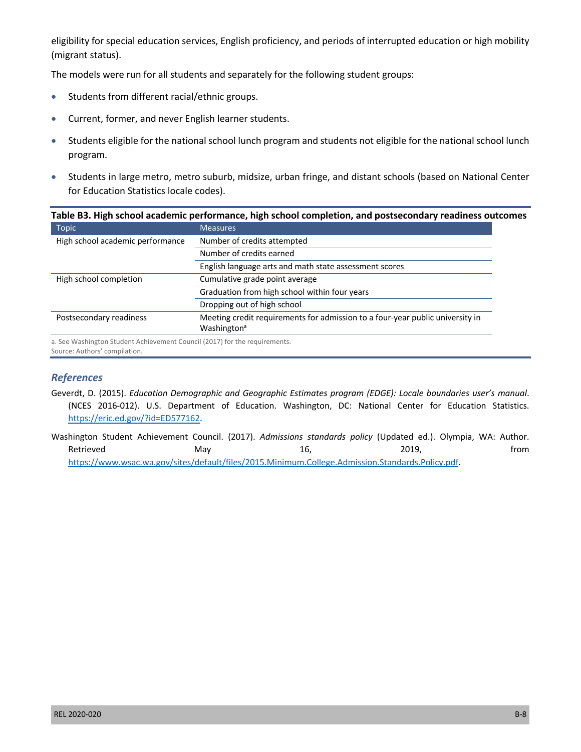eligibility for special education services, English proficiency, and periods of interrupted education or high mobility (migrant status).

(migrant status).<br>The models were run for all students and separately for the following student groups:

- • Students from different racial/ethnic groups.
- • Current, former, and never English learner students.
- Students eligible for the national school lunch program and students not eligible for the national school lunch program.
- • Students in large metro, metro suburb, midsize, urban fringe, and distant schools (based on National Center for Education Statistics locale codes).

|                                                                            | Table B3. High school academic performance, high school completion, and postsecondary readiness outcomes |
|----------------------------------------------------------------------------|----------------------------------------------------------------------------------------------------------|
| Topic                                                                      | <b>Measures</b>                                                                                          |
| High school academic performance                                           | Number of credits attempted                                                                              |
|                                                                            | Number of credits earned                                                                                 |
|                                                                            | English language arts and math state assessment scores                                                   |
| High school completion                                                     | Cumulative grade point average                                                                           |
|                                                                            | Graduation from high school within four years                                                            |
|                                                                            | Dropping out of high school                                                                              |
| Postsecondary readiness                                                    | Meeting credit requirements for admission to a four-year public university in                            |
|                                                                            | Washington <sup>a</sup>                                                                                  |
| a. See Washington Student Achievement Council (2017) for the requirements. |                                                                                                          |

Source: Authors' compilation.

#### *References*

- Geverdt, D. (2015). *Education Demographic and Geographic Estimates program (EDGE): Locale boundaries user's manual*. (NCES 2016-012). U.S. Department of Education. Washington, DC: National Center for Education Statistics. [https://eric.ed.gov/?id=ED577162.](https://eric.ed.gov/?id=ED577162)
- Washington Student Achievement Council. (2017). *Admissions standards policy* (Updated ed.). Olympia, WA: Author. Retrieved May 16, 2019, from <https://www.wsac.wa.gov/sites/default/files/2015.Minimum.College.Admission.Standards.Policy.pdf>.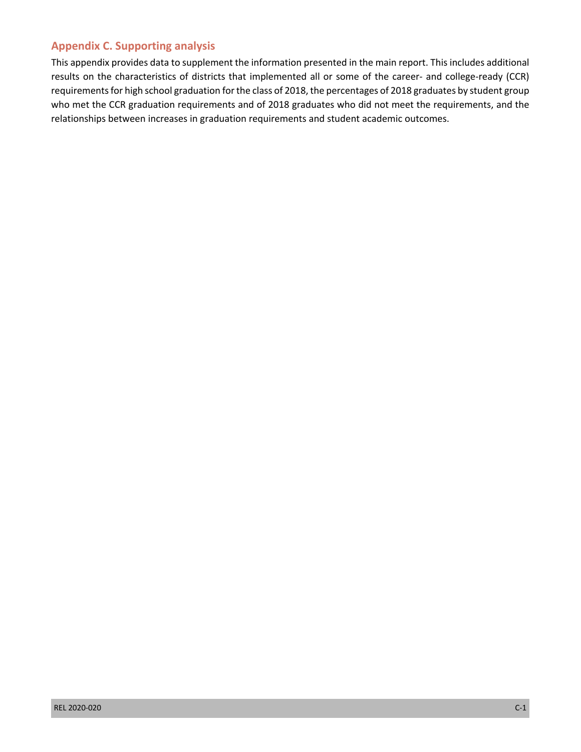#### **Appendix C. Supporting analysis**

 results on the characteristics of districts that implemented all or some of the career- and college-ready (CCR) requirements for high school graduation for the class of 2018, the percentages of 2018 graduates by student group who met the CCR graduation requirements and of 2018 graduates who did not meet the requirements, and the This appendix provides data to supplement the information presented in the main report. This includes additional relationships between increases in graduation requirements and student academic outcomes.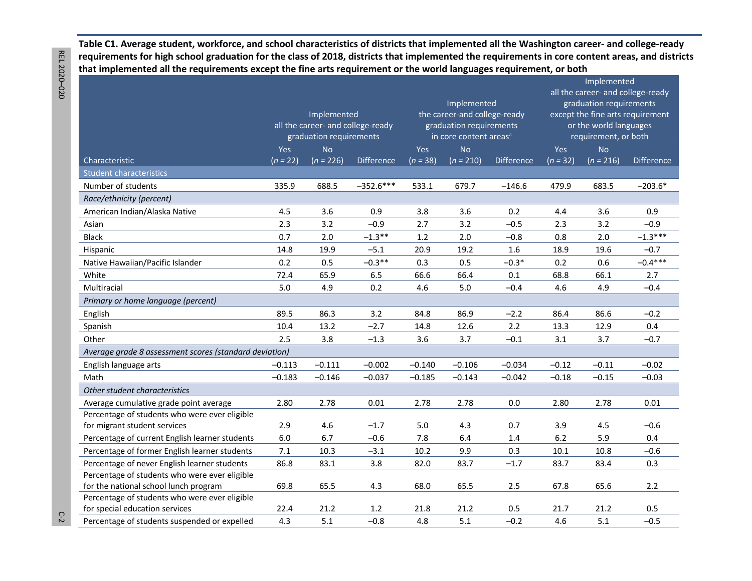**Table C1. Average student, workforce, and school characteristics of districts that implemented all the Washington career- and college-ready that implemented all the requirements except the fine arts requirement or the world languages requirement, or both requirements for high school graduation for the class of 2018, districts that implemented the requirements in core content areas, and districts** 

|                                                        |                                                | Implemented<br>all the career- and college-ready |             |            | Implemented<br>the career-and college-ready<br>graduation requirements |                   | Implemented<br>all the career- and college-ready<br>graduation requirements<br>except the fine arts requirement<br>or the world languages<br>requirement, or both |             |            |  |
|--------------------------------------------------------|------------------------------------------------|--------------------------------------------------|-------------|------------|------------------------------------------------------------------------|-------------------|-------------------------------------------------------------------------------------------------------------------------------------------------------------------|-------------|------------|--|
|                                                        |                                                | graduation requirements                          |             |            | in core content areas <sup>a</sup>                                     |                   |                                                                                                                                                                   |             |            |  |
|                                                        | Yes<br><b>No</b>                               |                                                  |             | Yes        | <b>No</b>                                                              |                   | <b>Yes</b>                                                                                                                                                        | <b>No</b>   |            |  |
| Characteristic                                         | $(n = 22)$<br>$(n = 226)$<br><b>Difference</b> |                                                  |             | $(n = 38)$ | $(n = 210)$                                                            | <b>Difference</b> | $(n = 32)$                                                                                                                                                        | $(n = 216)$ | Difference |  |
| <b>Student characteristics</b>                         |                                                |                                                  |             |            |                                                                        |                   |                                                                                                                                                                   |             |            |  |
| Number of students                                     | 335.9                                          | 688.5                                            | $-352.6***$ | 533.1      | 679.7                                                                  | $-146.6$          | 479.9                                                                                                                                                             | 683.5       | $-203.6*$  |  |
| Race/ethnicity (percent)                               |                                                |                                                  |             |            |                                                                        |                   |                                                                                                                                                                   |             |            |  |
| American Indian/Alaska Native                          | 4.5                                            | 3.6                                              | 0.9         | 3.8        | 3.6                                                                    | 0.2               | 4.4                                                                                                                                                               | 3.6         | 0.9        |  |
| Asian                                                  | 2.3                                            | 3.2                                              | $-0.9$      | 2.7        | 3.2                                                                    | $-0.5$            | 2.3                                                                                                                                                               | 3.2         | $-0.9$     |  |
| <b>Black</b>                                           | 0.7                                            | 2.0                                              | $-1.3**$    | 1.2        | 2.0                                                                    | $-0.8$            | 0.8                                                                                                                                                               | 2.0         | $-1.3***$  |  |
| Hispanic                                               | 14.8                                           | 19.9                                             | $-5.1$      | 20.9       | 19.2                                                                   | 1.6               | 18.9                                                                                                                                                              | 19.6        | $-0.7$     |  |
| Native Hawaiian/Pacific Islander                       | 0.2                                            | 0.5                                              | $-0.3**$    | 0.3        | 0.5                                                                    | $-0.3*$           | 0.2                                                                                                                                                               | 0.6         | $-0.4***$  |  |
| White                                                  | 72.4                                           | 65.9                                             | 6.5         | 66.6       | 66.4                                                                   | 0.1               | 68.8                                                                                                                                                              | 66.1        | 2.7        |  |
| Multiracial                                            | 5.0                                            | 4.9                                              | 0.2         | 4.6        | 5.0                                                                    | $-0.4$            | 4.6                                                                                                                                                               | 4.9         | $-0.4$     |  |
| Primary or home language (percent)                     |                                                |                                                  |             |            |                                                                        |                   |                                                                                                                                                                   |             |            |  |
| English                                                | 89.5                                           | 86.3                                             | 3.2         | 84.8       | 86.9                                                                   | $-2.2$            | 86.4                                                                                                                                                              | 86.6        | $-0.2$     |  |
| Spanish                                                | 10.4                                           | 13.2                                             | $-2.7$      | 14.8       | 12.6                                                                   | 2.2               | 13.3                                                                                                                                                              | 12.9        | 0.4        |  |
| Other                                                  | 2.5                                            | 3.8                                              | $-1.3$      | 3.6        | 3.7                                                                    | $-0.1$            | 3.1                                                                                                                                                               | 3.7         | $-0.7$     |  |
| Average grade 8 assessment scores (standard deviation) |                                                |                                                  |             |            |                                                                        |                   |                                                                                                                                                                   |             |            |  |
| English language arts                                  | $-0.113$                                       | $-0.111$                                         | $-0.002$    | $-0.140$   | $-0.106$                                                               | $-0.034$          | $-0.12$                                                                                                                                                           | $-0.11$     | $-0.02$    |  |
| Math                                                   | $-0.183$                                       | $-0.146$                                         | $-0.037$    | $-0.185$   | $-0.143$                                                               | $-0.042$          | $-0.18$                                                                                                                                                           | $-0.15$     | $-0.03$    |  |
| Other student characteristics                          |                                                |                                                  |             |            |                                                                        |                   |                                                                                                                                                                   |             |            |  |
| Average cumulative grade point average                 | 2.80                                           | 2.78                                             | 0.01        | 2.78       | 2.78                                                                   | 0.0               | 2.80                                                                                                                                                              | 2.78        | 0.01       |  |
| Percentage of students who were ever eligible          |                                                |                                                  |             |            |                                                                        |                   |                                                                                                                                                                   |             |            |  |
| for migrant student services                           | 2.9                                            | 4.6                                              | $-1.7$      | 5.0        | 4.3                                                                    | 0.7               | 3.9                                                                                                                                                               | 4.5         | $-0.6$     |  |
| Percentage of current English learner students         | 6.0                                            | 6.7                                              | $-0.6$      | 7.8        | 6.4                                                                    | 1.4               | 6.2                                                                                                                                                               | 5.9         | 0.4        |  |
| Percentage of former English learner students          | $7.1\,$                                        | 10.3                                             | $-3.1$      | 10.2       | 9.9                                                                    | 0.3               | 10.1                                                                                                                                                              | 10.8        | $-0.6$     |  |
| Percentage of never English learner students           | 86.8                                           | 83.1                                             | 3.8         | 82.0       | 83.7                                                                   | $-1.7$            | 83.7                                                                                                                                                              | 83.4        | 0.3        |  |
| Percentage of students who were ever eligible          |                                                |                                                  |             |            |                                                                        |                   |                                                                                                                                                                   |             |            |  |
| for the national school lunch program                  | 69.8                                           | 65.5                                             | 4.3         | 68.0       | 65.5                                                                   | 2.5               | 67.8                                                                                                                                                              | 65.6        | 2.2        |  |
| Percentage of students who were ever eligible          |                                                |                                                  |             |            |                                                                        |                   |                                                                                                                                                                   |             |            |  |
| for special education services                         | 22.4                                           | 21.2                                             | 1.2         | 21.8       | 21.2                                                                   | 0.5               | 21.7                                                                                                                                                              | 21.2        | 0.5        |  |
| Percentage of students suspended or expelled           | 4.3                                            | 5.1                                              | $-0.8$      | 4.8        | 5.1                                                                    | $-0.2$            | 4.6                                                                                                                                                               | 5.1         | $-0.5$     |  |

REL 2020-020 REL 2020 –020 C-2

 $C-2$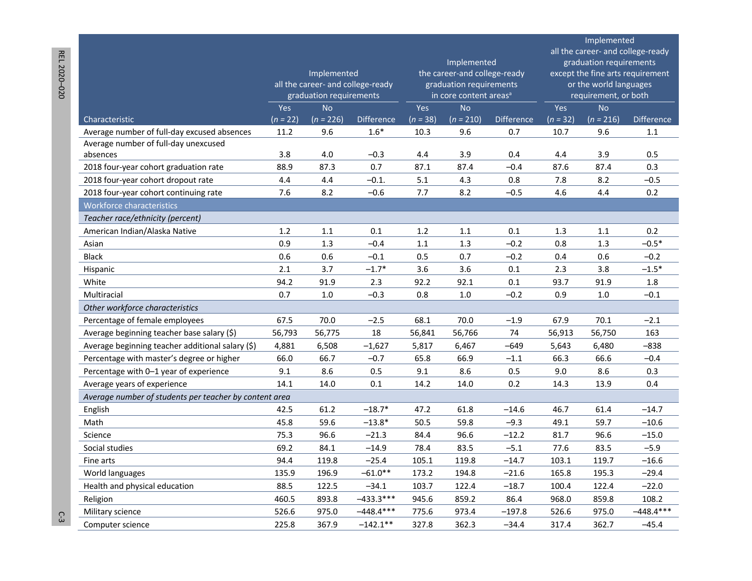|                                                                                     |                   |                                   |                             |                   |                                    |                          | Implemented       |                         |                                  |  |  |  |
|-------------------------------------------------------------------------------------|-------------------|-----------------------------------|-----------------------------|-------------------|------------------------------------|--------------------------|-------------------|-------------------------|----------------------------------|--|--|--|
|                                                                                     |                   |                                   |                             |                   | all the career- and college-ready  |                          |                   |                         |                                  |  |  |  |
|                                                                                     |                   |                                   |                             |                   | Implemented                        |                          |                   | graduation requirements |                                  |  |  |  |
|                                                                                     |                   | Implemented                       |                             |                   | the career-and college-ready       |                          |                   |                         | except the fine arts requirement |  |  |  |
|                                                                                     |                   | all the career- and college-ready |                             |                   | graduation requirements            |                          |                   | or the world languages  |                                  |  |  |  |
|                                                                                     |                   | graduation requirements           |                             |                   | in core content areas <sup>a</sup> |                          |                   | requirement, or both    |                                  |  |  |  |
|                                                                                     | Yes<br>$(n = 22)$ | <b>No</b><br>$(n = 226)$          |                             | Yes<br>$(n = 38)$ | <b>No</b><br>$(n = 210)$           |                          | Yes<br>$(n = 32)$ | <b>No</b>               | <b>Difference</b>                |  |  |  |
| Characteristic                                                                      | 11.2              | 9.6                               | <b>Difference</b><br>$1.6*$ | 10.3              | 9.6                                | <b>Difference</b><br>0.7 | 10.7              | $(n = 216)$<br>9.6      | 1.1                              |  |  |  |
| Average number of full-day excused absences<br>Average number of full-day unexcused |                   |                                   |                             |                   |                                    |                          |                   |                         |                                  |  |  |  |
| absences                                                                            | 3.8               | 4.0                               | $-0.3$                      | 4.4               | 3.9                                | 0.4                      | 4.4               | 3.9                     | 0.5                              |  |  |  |
| 2018 four-year cohort graduation rate                                               | 88.9              | 87.3                              | 0.7                         | 87.1              | 87.4                               | $-0.4$                   | 87.6              | 87.4                    | 0.3                              |  |  |  |
| 2018 four-year cohort dropout rate                                                  | 4.4               | 4.4                               | $-0.1.$                     | 5.1               | 4.3                                | 0.8                      | 7.8               | 8.2                     | $-0.5$                           |  |  |  |
| 2018 four-year cohort continuing rate                                               | 7.6               | 8.2                               | $-0.6$                      | 7.7               | 8.2                                | $-0.5$                   | 4.6               | 4.4                     | 0.2                              |  |  |  |
| <b>Workforce characteristics</b>                                                    |                   |                                   |                             |                   |                                    |                          |                   |                         |                                  |  |  |  |
| Teacher race/ethnicity (percent)                                                    |                   |                                   |                             |                   |                                    |                          |                   |                         |                                  |  |  |  |
| American Indian/Alaska Native                                                       | 1.2               | 1.1                               | 0.1                         | 1.2               | 1.1                                | 0.1                      | 1.3               | 1.1                     | 0.2                              |  |  |  |
| Asian                                                                               | 0.9               | 1.3                               | $-0.4$                      | 1.1               | 1.3                                | $-0.2$                   | 0.8               | 1.3                     | $-0.5*$                          |  |  |  |
| <b>Black</b>                                                                        | 0.6               | 0.6                               | $-0.1$                      | 0.5               | 0.7                                | $-0.2$                   | 0.4               | 0.6                     | $-0.2$                           |  |  |  |
| Hispanic                                                                            | 2.1               | 3.7                               | $-1.7*$                     | 3.6               | 3.6                                | 0.1                      | 2.3               | 3.8                     | $-1.5*$                          |  |  |  |
| White                                                                               | 94.2              | 91.9                              | 2.3                         | 92.2              | 92.1                               | 0.1                      | 93.7              | 91.9                    | 1.8                              |  |  |  |
| Multiracial                                                                         | 0.7               | 1.0                               | $-0.3$                      | 0.8               | 1.0                                | $-0.2$                   | 0.9               | 1.0                     | $-0.1$                           |  |  |  |
| Other workforce characteristics                                                     |                   |                                   |                             |                   |                                    |                          |                   |                         |                                  |  |  |  |
| Percentage of female employees                                                      | 67.5              | 70.0                              | $-2.5$                      | 68.1              | 70.0                               | $-1.9$                   | 67.9              | 70.1                    | $-2.1$                           |  |  |  |
| Average beginning teacher base salary (\$)                                          | 56,793            | 56,775                            | 18                          | 56,841            | 56,766                             | 74                       | 56,913            | 56,750                  | 163                              |  |  |  |
| Average beginning teacher additional salary (\$)                                    | 4,881             | 6,508                             | $-1,627$                    | 5,817             | 6,467                              | $-649$                   | 5,643             | 6,480                   | -838                             |  |  |  |
| Percentage with master's degree or higher                                           | 66.0              | 66.7                              | $-0.7$                      | 65.8              | 66.9                               | $-1.1$                   | 66.3              | 66.6                    | $-0.4$                           |  |  |  |
| Percentage with 0-1 year of experience                                              | 9.1               | 8.6                               | 0.5                         | 9.1               | 8.6                                | 0.5                      | 9.0               | 8.6                     | 0.3                              |  |  |  |
| Average years of experience                                                         | 14.1              | 14.0                              | 0.1                         | 14.2              | 14.0                               | 0.2                      | 14.3              | 13.9                    | 0.4                              |  |  |  |
| Average number of students per teacher by content area                              |                   |                                   |                             |                   |                                    |                          |                   |                         |                                  |  |  |  |
| English                                                                             | 42.5              | 61.2                              | $-18.7*$                    | 47.2              | 61.8                               | $-14.6$                  | 46.7              | 61.4                    | $-14.7$                          |  |  |  |
| Math                                                                                | 45.8              | 59.6                              | $-13.8*$                    | 50.5              | 59.8                               | $-9.3$                   | 49.1              | 59.7                    | $-10.6$                          |  |  |  |
| Science                                                                             | 75.3              | 96.6                              | $-21.3$                     | 84.4              | 96.6                               | $-12.2$                  | 81.7              | 96.6                    | $-15.0$                          |  |  |  |
| Social studies                                                                      | 69.2              | 84.1                              | $-14.9$                     | 78.4              | 83.5                               | $-5.1$                   | 77.6              | 83.5                    | $-5.9$                           |  |  |  |
| Fine arts                                                                           | 94.4              | 119.8                             | $-25.4$                     | 105.1             | 119.8                              | $-14.7$                  | 103.1             | 119.7                   | $-16.6$                          |  |  |  |
| World languages                                                                     | 135.9             | 196.9                             | $-61.0**$                   | 173.2             | 194.8                              | $-21.6$                  | 165.8             | 195.3                   | $-29.4$                          |  |  |  |
| Health and physical education                                                       | 88.5              | 122.5                             | $-34.1$                     | 103.7             | 122.4                              | $-18.7$                  | 100.4             | 122.4                   | $-22.0$                          |  |  |  |
| Religion                                                                            | 460.5             | 893.8                             | $-433.3***$                 | 945.6             | 859.2                              | 86.4                     | 968.0             | 859.8                   | 108.2                            |  |  |  |
| Military science                                                                    | 526.6             | 975.0                             | -448.4***                   | 775.6             | 973.4                              | $-197.8$                 | 526.6             | 975.0                   | $-448.4***$                      |  |  |  |
| Computer science                                                                    | 225.8             | 367.9                             | $-142.1***$                 | 327.8             | 362.3                              | $-34.4$                  | 317.4             | 362.7                   | $-45.4$                          |  |  |  |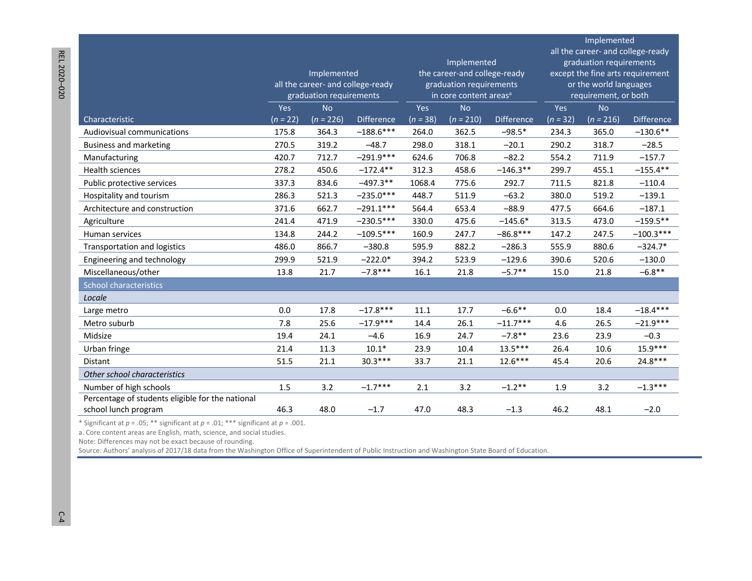|                                                  |            | Implemented<br>all the career- and college-ready<br>graduation requirements |                   |            | Implemented<br>the career-and college-ready<br>graduation requirements<br>in core content areas <sup>a</sup> |                   |            | Implemented<br>all the career- and college-ready<br>graduation requirements<br>except the fine arts requirement<br>or the world languages<br>requirement, or both |                   |
|--------------------------------------------------|------------|-----------------------------------------------------------------------------|-------------------|------------|--------------------------------------------------------------------------------------------------------------|-------------------|------------|-------------------------------------------------------------------------------------------------------------------------------------------------------------------|-------------------|
|                                                  | Yes        | <b>No</b>                                                                   |                   | Yes        | <b>No</b>                                                                                                    |                   | Yes        | <b>No</b>                                                                                                                                                         |                   |
| Characteristic                                   | $(n = 22)$ | $(n = 226)$                                                                 | <b>Difference</b> | $(n = 38)$ | $(n = 210)$                                                                                                  | <b>Difference</b> | $(n = 32)$ | $(n = 216)$                                                                                                                                                       | <b>Difference</b> |
| Audiovisual communications                       | 175.8      | 364.3                                                                       | $-188.6***$       | 264.0      | 362.5                                                                                                        | $-98.5*$          | 234.3      | 365.0                                                                                                                                                             | $-130.6**$        |
| <b>Business and marketing</b>                    | 270.5      | 319.2                                                                       | $-48.7$           | 298.0      | 318.1                                                                                                        | $-20.1$           | 290.2      | 318.7                                                                                                                                                             | $-28.5$           |
| Manufacturing                                    | 420.7      | 712.7                                                                       | $-291.9***$       | 624.6      | 706.8                                                                                                        | $-82.2$           | 554.2      | 711.9                                                                                                                                                             | $-157.7$          |
| Health sciences                                  | 278.2      | 450.6                                                                       | $-172.4**$        | 312.3      | 458.6                                                                                                        | $-146.3**$        | 299.7      | 455.1                                                                                                                                                             | $-155.4**$        |
| Public protective services                       | 337.3      | 834.6                                                                       | $-497.3**$        | 1068.4     | 775.6                                                                                                        | 292.7             | 711.5      | 821.8                                                                                                                                                             | $-110.4$          |
| Hospitality and tourism                          | 286.3      | 521.3                                                                       | $-235.0***$       | 448.7      | 511.9                                                                                                        | $-63.2$           | 380.0      | 519.2                                                                                                                                                             | $-139.1$          |
| Architecture and construction                    | 371.6      | 662.7                                                                       | $-291.1***$       | 564.4      | 653.4                                                                                                        | $-88.9$           | 477.5      | 664.6                                                                                                                                                             | $-187.1$          |
| Agriculture                                      | 241.4      | 471.9                                                                       | $-230.5***$       | 330.0      | 475.6                                                                                                        | $-145.6*$         | 313.5      | 473.0                                                                                                                                                             | $-159.5**$        |
| Human services                                   | 134.8      | 244.2                                                                       | $-109.5***$       | 160.9      | 247.7                                                                                                        | $-86.8***$        | 147.2      | 247.5                                                                                                                                                             | $-100.3***$       |
| <b>Transportation and logistics</b>              | 486.0      | 866.7                                                                       | $-380.8$          | 595.9      | 882.2                                                                                                        | $-286.3$          | 555.9      | 880.6                                                                                                                                                             | $-324.7*$         |
| Engineering and technology                       | 299.9      | 521.9                                                                       | $-222.0*$         | 394.2      | 523.9                                                                                                        | $-129.6$          | 390.6      | 520.6                                                                                                                                                             | $-130.0$          |
| Miscellaneous/other                              | 13.8       | 21.7                                                                        | $-7.8***$         | 16.1       | 21.8                                                                                                         | $-5.7**$          | 15.0       | 21.8                                                                                                                                                              | $-6.8**$          |
| School characteristics                           |            |                                                                             |                   |            |                                                                                                              |                   |            |                                                                                                                                                                   |                   |
| Locale                                           |            |                                                                             |                   |            |                                                                                                              |                   |            |                                                                                                                                                                   |                   |
| Large metro                                      | $0.0\,$    | 17.8                                                                        | $-17.8***$        | 11.1       | 17.7                                                                                                         | $-6.6***$         | 0.0        | 18.4                                                                                                                                                              | $-18.4***$        |
| Metro suburb                                     | 7.8        | 25.6                                                                        | $-17.9***$        | 14.4       | 26.1                                                                                                         | $-11.7***$        | 4.6        | 26.5                                                                                                                                                              | $-21.9***$        |
| Midsize                                          | 19.4       | 24.1                                                                        | $-4.6$            | 16.9       | 24.7                                                                                                         | $-7.8**$          | 23.6       | 23.9                                                                                                                                                              | $-0.3$            |
| Urban fringe                                     | 21.4       | 11.3                                                                        | $10.1*$           | 23.9       | 10.4                                                                                                         | $13.5***$         | 26.4       | 10.6                                                                                                                                                              | 15.9***           |
| <b>Distant</b>                                   | 51.5       | 21.1                                                                        | $30.3***$         | 33.7       | 21.1                                                                                                         | $12.6***$         | 45.4       | 20.6                                                                                                                                                              | 24.8***           |
| Other school characteristics                     |            |                                                                             |                   |            |                                                                                                              |                   |            |                                                                                                                                                                   |                   |
| Number of high schools                           | 1.5        | 3.2                                                                         | $-1.7***$         | 2.1        | 3.2                                                                                                          | $-1.2$ **         | 1.9        | 3.2                                                                                                                                                               | $-1.3***$         |
| Percentage of students eligible for the national |            |                                                                             |                   |            |                                                                                                              |                   |            |                                                                                                                                                                   |                   |
| school lunch program                             | 46.3       | 48.0                                                                        | $-1.7$            | 47.0       | 48.3                                                                                                         | $-1.3$            | 46.2       | 48.1                                                                                                                                                              | $-2.0$            |

\* Significant at  $p = .05$ ; \*\* significant at  $p = .01$ ; \*\*\* significant at  $p = .001$ .

a. Core content areas are English, math, science, and social studies.

Note: Differences may not be exact because of rounding.

Source: Authors' analysis of 2017/18 data from the Washington Office of Superintendent of Public Instruction and Washington State Board of Education.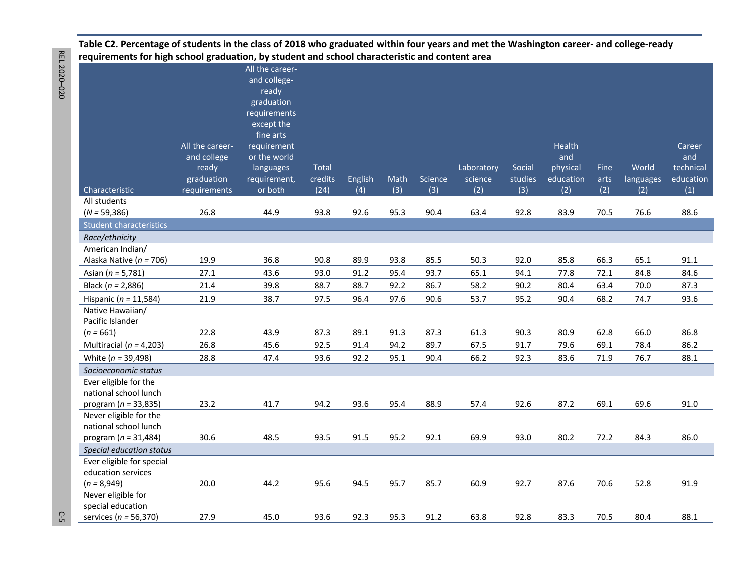**Table C2. Percentage of students in the class of 2018 who graduated within four years and met the Washington career- and college-ready requirements for high school graduation, by student and school characteristic and content area** 

|                                     |                 | All the career-            |              |         |      |         |            |         |           |      |           |           |
|-------------------------------------|-----------------|----------------------------|--------------|---------|------|---------|------------|---------|-----------|------|-----------|-----------|
|                                     |                 | and college-               |              |         |      |         |            |         |           |      |           |           |
|                                     |                 | ready                      |              |         |      |         |            |         |           |      |           |           |
|                                     |                 | graduation                 |              |         |      |         |            |         |           |      |           |           |
|                                     |                 | requirements<br>except the |              |         |      |         |            |         |           |      |           |           |
|                                     |                 | fine arts                  |              |         |      |         |            |         |           |      |           |           |
|                                     | All the career- | requirement                |              |         |      |         |            |         | Health    |      |           | Career    |
|                                     | and college     | or the world               |              |         |      |         |            |         | and       |      |           | and       |
|                                     | ready           | languages                  | <b>Total</b> |         |      |         | Laboratory | Social  | physical  | Fine | World     | technical |
|                                     | graduation      | requirement,               | credits      | English | Math | Science | science    | studies | education | arts | languages | education |
| Characteristic                      | requirements    | or both                    | (24)         | (4)     | (3)  | (3)     | (2)        | (3)     | (2)       | (2)  | (2)       | (1)       |
| All students                        |                 |                            |              |         |      |         |            |         |           |      |           |           |
| $(N = 59,386)$                      | 26.8            | 44.9                       | 93.8         | 92.6    | 95.3 | 90.4    | 63.4       | 92.8    | 83.9      | 70.5 | 76.6      | 88.6      |
| <b>Student characteristics</b>      |                 |                            |              |         |      |         |            |         |           |      |           |           |
| Race/ethnicity                      |                 |                            |              |         |      |         |            |         |           |      |           |           |
| American Indian/                    |                 |                            |              |         |      |         |            |         |           |      |           |           |
| Alaska Native ( $n = 706$ )         | 19.9            | 36.8                       | 90.8         | 89.9    | 93.8 | 85.5    | 50.3       | 92.0    | 85.8      | 66.3 | 65.1      | 91.1      |
| Asian ( $n = 5,781$ )               | 27.1            | 43.6                       | 93.0         | 91.2    | 95.4 | 93.7    | 65.1       | 94.1    | 77.8      | 72.1 | 84.8      | 84.6      |
| Black ( $n = 2,886$ )               | 21.4            | 39.8                       | 88.7         | 88.7    | 92.2 | 86.7    | 58.2       | 90.2    | 80.4      | 63.4 | 70.0      | 87.3      |
| Hispanic ( $n = 11,584$ )           | 21.9            | 38.7                       | 97.5         | 96.4    | 97.6 | 90.6    | 53.7       | 95.2    | 90.4      | 68.2 | 74.7      | 93.6      |
| Native Hawaiian/                    |                 |                            |              |         |      |         |            |         |           |      |           |           |
| Pacific Islander                    |                 |                            |              |         |      |         |            |         |           |      |           |           |
| $(n = 661)$                         | 22.8            | 43.9                       | 87.3         | 89.1    | 91.3 | 87.3    | 61.3       | 90.3    | 80.9      | 62.8 | 66.0      | 86.8      |
| Multiracial ( $n = 4,203$ )         | 26.8            | 45.6                       | 92.5         | 91.4    | 94.2 | 89.7    | 67.5       | 91.7    | 79.6      | 69.1 | 78.4      | 86.2      |
| White ( $n = 39,498$ )              | 28.8            | 47.4                       | 93.6         | 92.2    | 95.1 | 90.4    | 66.2       | 92.3    | 83.6      | 71.9 | 76.7      | 88.1      |
| Socioeconomic status                |                 |                            |              |         |      |         |            |         |           |      |           |           |
| Ever eligible for the               |                 |                            |              |         |      |         |            |         |           |      |           |           |
| national school lunch               |                 |                            |              |         |      |         |            |         |           |      |           |           |
| program ( $n = 33,835$ )            | 23.2            | 41.7                       | 94.2         | 93.6    | 95.4 | 88.9    | 57.4       | 92.6    | 87.2      | 69.1 | 69.6      | 91.0      |
| Never eligible for the              |                 |                            |              |         |      |         |            |         |           |      |           |           |
| national school lunch               |                 |                            |              |         |      |         |            |         |           |      |           |           |
| program ( $n = 31,484$ )            | 30.6            | 48.5                       | 93.5         | 91.5    | 95.2 | 92.1    | 69.9       | 93.0    | 80.2      | 72.2 | 84.3      | 86.0      |
| Special education status            |                 |                            |              |         |      |         |            |         |           |      |           |           |
| Ever eligible for special           |                 |                            |              |         |      |         |            |         |           |      |           |           |
| education services<br>$(n = 8,949)$ | 20.0            | 44.2                       | 95.6         | 94.5    | 95.7 | 85.7    | 60.9       | 92.7    | 87.6      | 70.6 | 52.8      | 91.9      |
| Never eligible for                  |                 |                            |              |         |      |         |            |         |           |      |           |           |
| special education                   |                 |                            |              |         |      |         |            |         |           |      |           |           |
| services ( $n = 56,370$ )           | 27.9            | 45.0                       | 93.6         | 92.3    | 95.3 | 91.2    | 63.8       | 92.8    | 83.3      | 70.5 | 80.4      | 88.1      |

 $\mathbb{C}$  5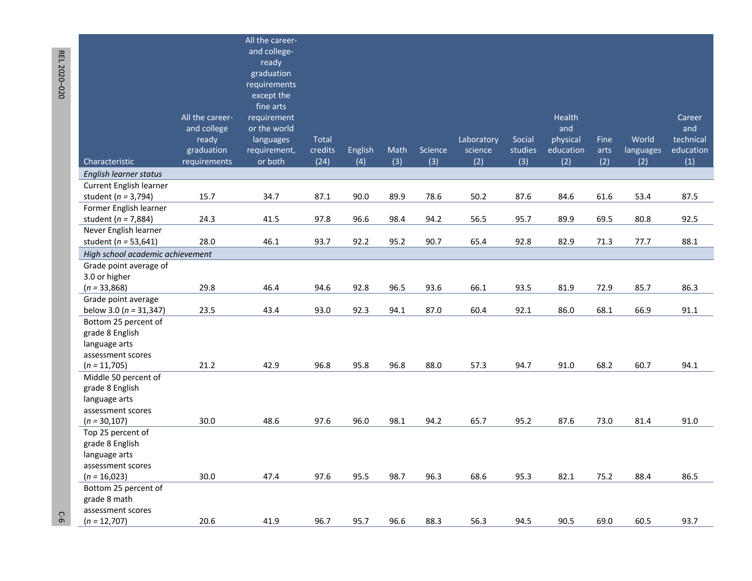|                                  |                 | All the career- |              |         |      |         |            |         |           |      |           |           |
|----------------------------------|-----------------|-----------------|--------------|---------|------|---------|------------|---------|-----------|------|-----------|-----------|
|                                  |                 | and college-    |              |         |      |         |            |         |           |      |           |           |
|                                  |                 | ready           |              |         |      |         |            |         |           |      |           |           |
|                                  |                 | graduation      |              |         |      |         |            |         |           |      |           |           |
|                                  |                 | requirements    |              |         |      |         |            |         |           |      |           |           |
|                                  |                 | except the      |              |         |      |         |            |         |           |      |           |           |
|                                  |                 | fine arts       |              |         |      |         |            |         |           |      |           |           |
|                                  | All the career- | requirement     |              |         |      |         |            |         | Health    |      |           | Career    |
|                                  | and college     | or the world    |              |         |      |         |            |         | and       |      |           | and       |
|                                  | ready           | languages       | <b>Total</b> |         |      |         | Laboratory | Social  | physical  | Fine | World     | technical |
|                                  | graduation      | requirement,    | credits      | English | Math | Science | science    | studies | education | arts | languages | education |
| Characteristic                   | requirements    | or both         | (24)         | (4)     | (3)  | (3)     | (2)        | (3)     | (2)       | (2)  | (2)       | (1)       |
| English learner status           |                 |                 |              |         |      |         |            |         |           |      |           |           |
| Current English learner          |                 |                 |              |         |      |         |            |         |           |      |           |           |
| student ( $n = 3,794$ )          | 15.7            | 34.7            | 87.1         | 90.0    | 89.9 | 78.6    | 50.2       | 87.6    | 84.6      | 61.6 | 53.4      | 87.5      |
| Former English learner           |                 |                 |              |         |      |         |            |         |           |      |           |           |
| student ( $n = 7,884$ )          | 24.3            | 41.5            | 97.8         | 96.6    | 98.4 | 94.2    | 56.5       | 95.7    | 89.9      | 69.5 | 80.8      | 92.5      |
| Never English learner            |                 |                 |              |         |      |         |            |         |           |      |           |           |
| student ( $n = 53,641$ )         | 28.0            | 46.1            | 93.7         | 92.2    | 95.2 | 90.7    | 65.4       | 92.8    | 82.9      | 71.3 | 77.7      | 88.1      |
| High school academic achievement |                 |                 |              |         |      |         |            |         |           |      |           |           |
| Grade point average of           |                 |                 |              |         |      |         |            |         |           |      |           |           |
| 3.0 or higher                    |                 |                 |              |         |      |         |            |         |           |      |           |           |
| $(n = 33,868)$                   | 29.8            | 46.4            | 94.6         | 92.8    | 96.5 | 93.6    | 66.1       | 93.5    | 81.9      | 72.9 | 85.7      | 86.3      |
| Grade point average              |                 |                 |              |         |      |         |            |         |           |      |           |           |
| below 3.0 ( $n = 31,347$ )       | 23.5            | 43.4            | 93.0         | 92.3    | 94.1 | 87.0    | 60.4       | 92.1    | 86.0      | 68.1 | 66.9      | 91.1      |
| Bottom 25 percent of             |                 |                 |              |         |      |         |            |         |           |      |           |           |
| grade 8 English                  |                 |                 |              |         |      |         |            |         |           |      |           |           |
| language arts                    |                 |                 |              |         |      |         |            |         |           |      |           |           |
| assessment scores                |                 |                 |              |         |      |         |            |         |           |      |           |           |
| $(n = 11,705)$                   | 21.2            | 42.9            | 96.8         | 95.8    | 96.8 | 88.0    | 57.3       | 94.7    | 91.0      | 68.2 | 60.7      | 94.1      |
| Middle 50 percent of             |                 |                 |              |         |      |         |            |         |           |      |           |           |
| grade 8 English                  |                 |                 |              |         |      |         |            |         |           |      |           |           |
| language arts                    |                 |                 |              |         |      |         |            |         |           |      |           |           |
| assessment scores                |                 |                 |              |         |      |         |            |         |           |      |           |           |
| $(n = 30, 107)$                  | 30.0            | 48.6            | 97.6         | 96.0    | 98.1 | 94.2    | 65.7       | 95.2    | 87.6      | 73.0 | 81.4      | 91.0      |
| Top 25 percent of                |                 |                 |              |         |      |         |            |         |           |      |           |           |
| grade 8 English                  |                 |                 |              |         |      |         |            |         |           |      |           |           |
| language arts                    |                 |                 |              |         |      |         |            |         |           |      |           |           |
| assessment scores                |                 |                 |              |         |      |         |            |         |           |      |           |           |
| $(n = 16,023)$                   | 30.0            | 47.4            | 97.6         | 95.5    | 98.7 | 96.3    | 68.6       | 95.3    | 82.1      | 75.2 | 88.4      | 86.5      |
| Bottom 25 percent of             |                 |                 |              |         |      |         |            |         |           |      |           |           |
| grade 8 math                     |                 |                 |              |         |      |         |            |         |           |      |           |           |
| assessment scores                |                 |                 |              |         |      |         |            |         |           |      |           |           |
| $(n = 12,707)$                   | 20.6            | 41.9            | 96.7         | 95.7    | 96.6 | 88.3    | 56.3       | 94.5    | 90.5      | 69.0 | 60.5      | 93.7      |

REL 2020-020 REL 2020

– 220 C-620 C-620 C-620 C-620 C-620 C-620 C-620 C-620 C-620 C-620 C-620 C-620 C-620 C-620 C-620 C-620 C-620 C- $C-6$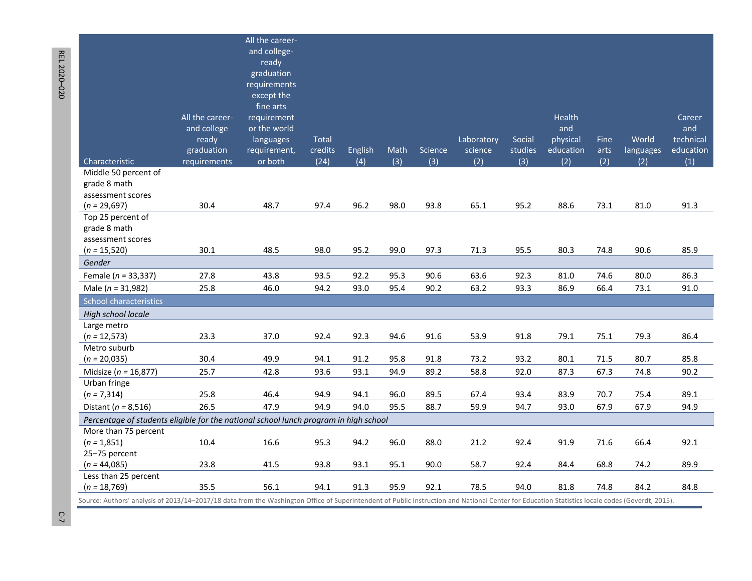|                                                                                                                                                                                                 |                 | All the career-            |         |         |      |         |            |         |           |      |                  |           |
|-------------------------------------------------------------------------------------------------------------------------------------------------------------------------------------------------|-----------------|----------------------------|---------|---------|------|---------|------------|---------|-----------|------|------------------|-----------|
|                                                                                                                                                                                                 |                 | and college-               |         |         |      |         |            |         |           |      |                  |           |
|                                                                                                                                                                                                 |                 | ready                      |         |         |      |         |            |         |           |      |                  |           |
|                                                                                                                                                                                                 |                 | graduation                 |         |         |      |         |            |         |           |      |                  |           |
|                                                                                                                                                                                                 |                 | requirements<br>except the |         |         |      |         |            |         |           |      |                  |           |
|                                                                                                                                                                                                 |                 | fine arts                  |         |         |      |         |            |         |           |      |                  |           |
|                                                                                                                                                                                                 | All the career- | requirement                |         |         |      |         |            |         | Health    |      |                  | Career    |
|                                                                                                                                                                                                 | and college     | or the world               |         |         |      |         |            |         | and       |      |                  | and       |
|                                                                                                                                                                                                 | ready           | languages                  | Total   |         |      |         | Laboratory | Social  | physical  | Fine | World            | technical |
|                                                                                                                                                                                                 | graduation      | requirement,               | credits | English | Math | Science | science    | studies | education | arts | <b>languages</b> | education |
| Characteristic                                                                                                                                                                                  | requirements    | or both                    | (24)    | (4)     | (3)  | (3)     | (2)        | (3)     | (2)       | (2)  | (2)              | (1)       |
| Middle 50 percent of                                                                                                                                                                            |                 |                            |         |         |      |         |            |         |           |      |                  |           |
| grade 8 math                                                                                                                                                                                    |                 |                            |         |         |      |         |            |         |           |      |                  |           |
| assessment scores                                                                                                                                                                               |                 |                            |         |         |      |         |            |         |           |      |                  |           |
| $(n = 29,697)$                                                                                                                                                                                  | 30.4            | 48.7                       | 97.4    | 96.2    | 98.0 | 93.8    | 65.1       | 95.2    | 88.6      | 73.1 | 81.0             | 91.3      |
| Top 25 percent of                                                                                                                                                                               |                 |                            |         |         |      |         |            |         |           |      |                  |           |
| grade 8 math                                                                                                                                                                                    |                 |                            |         |         |      |         |            |         |           |      |                  |           |
| assessment scores                                                                                                                                                                               |                 |                            |         |         |      |         |            |         |           |      |                  |           |
| $(n = 15,520)$                                                                                                                                                                                  | 30.1            | 48.5                       | 98.0    | 95.2    | 99.0 | 97.3    | 71.3       | 95.5    | 80.3      | 74.8 | 90.6             | 85.9      |
| Gender                                                                                                                                                                                          |                 |                            |         |         |      |         |            |         |           |      |                  |           |
| Female ( $n = 33,337$ )                                                                                                                                                                         | 27.8            | 43.8                       | 93.5    | 92.2    | 95.3 | 90.6    | 63.6       | 92.3    | 81.0      | 74.6 | 80.0             | 86.3      |
| Male ( $n = 31,982$ )                                                                                                                                                                           | 25.8            | 46.0                       | 94.2    | 93.0    | 95.4 | 90.2    | 63.2       | 93.3    | 86.9      | 66.4 | 73.1             | 91.0      |
| <b>School characteristics</b>                                                                                                                                                                   |                 |                            |         |         |      |         |            |         |           |      |                  |           |
| High school locale                                                                                                                                                                              |                 |                            |         |         |      |         |            |         |           |      |                  |           |
| Large metro                                                                                                                                                                                     |                 |                            |         |         |      |         |            |         |           |      |                  |           |
| $(n = 12,573)$                                                                                                                                                                                  | 23.3            | 37.0                       | 92.4    | 92.3    | 94.6 | 91.6    | 53.9       | 91.8    | 79.1      | 75.1 | 79.3             | 86.4      |
| Metro suburb                                                                                                                                                                                    |                 |                            |         |         |      |         |            |         |           |      |                  |           |
| $(n = 20,035)$                                                                                                                                                                                  | 30.4            | 49.9                       | 94.1    | 91.2    | 95.8 | 91.8    | 73.2       | 93.2    | 80.1      | 71.5 | 80.7             | 85.8      |
| Midsize ( $n = 16,877$ )                                                                                                                                                                        | 25.7            | 42.8                       | 93.6    | 93.1    | 94.9 | 89.2    | 58.8       | 92.0    | 87.3      | 67.3 | 74.8             | 90.2      |
| Urban fringe                                                                                                                                                                                    |                 |                            |         |         |      |         |            |         |           |      |                  |           |
| $(n = 7,314)$                                                                                                                                                                                   | 25.8            | 46.4                       | 94.9    | 94.1    | 96.0 | 89.5    | 67.4       | 93.4    | 83.9      | 70.7 | 75.4             | 89.1      |
| Distant ( $n = 8,516$ )                                                                                                                                                                         | 26.5            | 47.9                       | 94.9    | 94.0    | 95.5 | 88.7    | 59.9       | 94.7    | 93.0      | 67.9 | 67.9             | 94.9      |
| Percentage of students eligible for the national school lunch program in high school                                                                                                            |                 |                            |         |         |      |         |            |         |           |      |                  |           |
| More than 75 percent                                                                                                                                                                            |                 |                            |         |         |      |         |            |         |           |      |                  |           |
| $(n = 1,851)$                                                                                                                                                                                   | 10.4            | 16.6                       | 95.3    | 94.2    | 96.0 | 88.0    | 21.2       | 92.4    | 91.9      | 71.6 | 66.4             | 92.1      |
| 25-75 percent                                                                                                                                                                                   |                 |                            |         |         |      |         |            |         |           |      |                  |           |
| $(n = 44,085)$<br>Less than 25 percent                                                                                                                                                          | 23.8            | 41.5                       | 93.8    | 93.1    | 95.1 | 90.0    | 58.7       | 92.4    | 84.4      | 68.8 | 74.2             | 89.9      |
| $(n = 18,769)$                                                                                                                                                                                  | 35.5            | 56.1                       | 94.1    | 91.3    | 95.9 | 92.1    | 78.5       | 94.0    | 81.8      | 74.8 | 84.2             | 84.8      |
| Cource: Authors' applicie of 2012/14-2017/18 data from the Washington Office of Superintendent of Bublic Instruction and National Center for Education Statistics locale sodes (Governlt, 2015) |                 |                            |         |         |      |         |            |         |           |      |                  |           |

Source: Authors' analysis of 2013/14–2017/18 data from the Washington Office of Superintendent of Public Instruction and National Center for Education Statistics locale codes (Geverdt, 2015).

REL 2020

REL 2020-020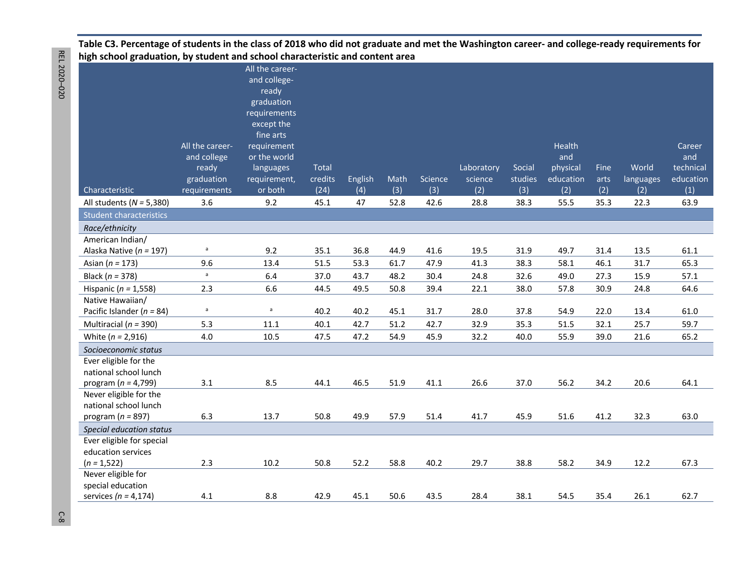#### **Table C3. Percentage of students in the class of 2018 who did not graduate and met the Washington career- and college-ready requirements for high school graduation, by student and school characteristic and content area**

|                                |                 | All the career- |              |         |      |         |            |         |           |      |           |           |
|--------------------------------|-----------------|-----------------|--------------|---------|------|---------|------------|---------|-----------|------|-----------|-----------|
|                                |                 | and college-    |              |         |      |         |            |         |           |      |           |           |
|                                |                 | ready           |              |         |      |         |            |         |           |      |           |           |
|                                |                 | graduation      |              |         |      |         |            |         |           |      |           |           |
|                                |                 | requirements    |              |         |      |         |            |         |           |      |           |           |
|                                |                 | except the      |              |         |      |         |            |         |           |      |           |           |
|                                |                 | fine arts       |              |         |      |         |            |         |           |      |           |           |
|                                | All the career- | requirement     |              |         |      |         |            |         | Health    |      |           | Career    |
|                                | and college     | or the world    |              |         |      |         |            |         | and       |      |           | and       |
|                                | ready           | languages       | <b>Total</b> |         |      |         | Laboratory | Social  | physical  | Fine | World     | technical |
|                                | graduation      | requirement,    | credits      | English | Math | Science | science    | studies | education | arts | languages | education |
| Characteristic                 | requirements    | or both         | (24)         | (4)     | (3)  | (3)     | (2)        | (3)     | (2)       | (2)  | (2)       | (1)       |
| All students ( $N = 5,380$ )   | 3.6             | 9.2             | 45.1         | 47      | 52.8 | 42.6    | 28.8       | 38.3    | 55.5      | 35.3 | 22.3      | 63.9      |
| <b>Student characteristics</b> |                 |                 |              |         |      |         |            |         |           |      |           |           |
| Race/ethnicity                 |                 |                 |              |         |      |         |            |         |           |      |           |           |
| American Indian/               |                 |                 |              |         |      |         |            |         |           |      |           |           |
| Alaska Native ( $n = 197$ )    | $\mathsf a$     | 9.2             | 35.1         | 36.8    | 44.9 | 41.6    | 19.5       | 31.9    | 49.7      | 31.4 | 13.5      | 61.1      |
| Asian ( $n = 173$ )            | 9.6             | 13.4            | 51.5         | 53.3    | 61.7 | 47.9    | 41.3       | 38.3    | 58.1      | 46.1 | 31.7      | 65.3      |
| Black ( $n = 378$ )            | $\mathsf a$     | 6.4             | 37.0         | 43.7    | 48.2 | 30.4    | 24.8       | 32.6    | 49.0      | 27.3 | 15.9      | 57.1      |
| Hispanic ( $n = 1,558$ )       | 2.3             | 6.6             | 44.5         | 49.5    | 50.8 | 39.4    | 22.1       | 38.0    | 57.8      | 30.9 | 24.8      | 64.6      |
| Native Hawaiian/               |                 |                 |              |         |      |         |            |         |           |      |           |           |
| Pacific Islander ( $n = 84$ )  | $\mathsf a$     | a               | 40.2         | 40.2    | 45.1 | 31.7    | 28.0       | 37.8    | 54.9      | 22.0 | 13.4      | 61.0      |
| Multiracial ( $n = 390$ )      | 5.3             | 11.1            | 40.1         | 42.7    | 51.2 | 42.7    | 32.9       | 35.3    | 51.5      | 32.1 | 25.7      | 59.7      |
| White $(n = 2,916)$            | 4.0             | 10.5            | 47.5         | 47.2    | 54.9 | 45.9    | 32.2       | 40.0    | 55.9      | 39.0 | 21.6      | 65.2      |
| Socioeconomic status           |                 |                 |              |         |      |         |            |         |           |      |           |           |
| Ever eligible for the          |                 |                 |              |         |      |         |            |         |           |      |           |           |
| national school lunch          |                 |                 |              |         |      |         |            |         |           |      |           |           |
| program ( $n = 4,799$ )        | 3.1             | 8.5             | 44.1         | 46.5    | 51.9 | 41.1    | 26.6       | 37.0    | 56.2      | 34.2 | 20.6      | 64.1      |
| Never eligible for the         |                 |                 |              |         |      |         |            |         |           |      |           |           |
| national school lunch          |                 |                 |              |         |      |         |            |         |           |      |           |           |
| program ( $n = 897$ )          | 6.3             | 13.7            | 50.8         | 49.9    | 57.9 | 51.4    | 41.7       | 45.9    | 51.6      | 41.2 | 32.3      | 63.0      |
| Special education status       |                 |                 |              |         |      |         |            |         |           |      |           |           |
| Ever eligible for special      |                 |                 |              |         |      |         |            |         |           |      |           |           |
| education services             |                 |                 |              |         |      |         |            |         |           |      |           |           |
| $(n = 1,522)$                  | 2.3             | 10.2            | 50.8         | 52.2    | 58.8 | 40.2    | 29.7       | 38.8    | 58.2      | 34.9 | 12.2      | 67.3      |
| Never eligible for             |                 |                 |              |         |      |         |            |         |           |      |           |           |
| special education              |                 |                 |              |         |      |         |            |         |           |      |           |           |
| services ( $n = 4,174$ )       | 4.1             | 8.8             | 42.9         | 45.1    | 50.6 | 43.5    | 28.4       | 38.1    | 54.5      | 35.4 | 26.1      | 62.7      |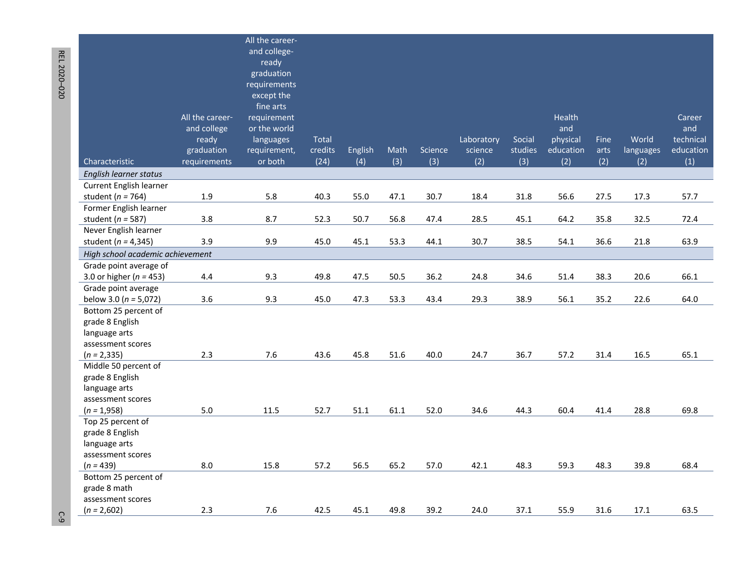| ready<br>graduation<br>requirements<br>except the<br>fine arts<br>All the career-<br>Health<br>requirement<br>Career<br>and college<br>or the world<br>and<br>and                                    |  | All the career-<br>and college- |  |  |  |  |           |
|------------------------------------------------------------------------------------------------------------------------------------------------------------------------------------------------------|--|---------------------------------|--|--|--|--|-----------|
|                                                                                                                                                                                                      |  |                                 |  |  |  |  |           |
|                                                                                                                                                                                                      |  |                                 |  |  |  |  |           |
|                                                                                                                                                                                                      |  |                                 |  |  |  |  |           |
|                                                                                                                                                                                                      |  |                                 |  |  |  |  |           |
|                                                                                                                                                                                                      |  |                                 |  |  |  |  |           |
|                                                                                                                                                                                                      |  |                                 |  |  |  |  |           |
|                                                                                                                                                                                                      |  |                                 |  |  |  |  |           |
| Social<br>physical<br>World<br>technical<br>ready<br>languages<br>Total<br>Laboratory<br>Fine<br>graduation<br>studies<br>education<br>requirement,<br>credits<br>Math<br>Science<br>science<br>arts |  |                                 |  |  |  |  | education |
| English<br>languages<br>(4)<br>(3)<br>(2)<br>(2)<br>(2)<br>Characteristic<br>or both<br>(24)<br>(3)<br>(3)<br>(2)<br>(1)<br>requirements                                                             |  |                                 |  |  |  |  |           |
| English learner status                                                                                                                                                                               |  |                                 |  |  |  |  |           |
| <b>Current English learner</b>                                                                                                                                                                       |  |                                 |  |  |  |  |           |
| $1.9\,$<br>5.8<br>40.3<br>55.0<br>47.1<br>30.7<br>18.4<br>31.8<br>56.6<br>27.5<br>17.3<br>57.7<br>student ( $n = 764$ )                                                                              |  |                                 |  |  |  |  |           |
| Former English learner                                                                                                                                                                               |  |                                 |  |  |  |  |           |
| 3.8<br>8.7<br>52.3<br>50.7<br>56.8<br>47.4<br>28.5<br>45.1<br>64.2<br>35.8<br>32.5<br>72.4<br>student ( $n = 587$ )                                                                                  |  |                                 |  |  |  |  |           |
| Never English learner                                                                                                                                                                                |  |                                 |  |  |  |  |           |
| 3.9<br>9.9<br>45.0<br>45.1<br>30.7<br>38.5<br>36.6<br>21.8<br>63.9<br>53.3<br>44.1<br>54.1<br>student ( $n = 4,345$ )                                                                                |  |                                 |  |  |  |  |           |
| High school academic achievement                                                                                                                                                                     |  |                                 |  |  |  |  |           |
| Grade point average of                                                                                                                                                                               |  |                                 |  |  |  |  |           |
| 9.3<br>49.8<br>47.5<br>50.5<br>36.2<br>38.3<br>20.6<br>66.1<br>3.0 or higher ( $n = 453$ )<br>4.4<br>24.8<br>34.6<br>51.4                                                                            |  |                                 |  |  |  |  |           |
| Grade point average                                                                                                                                                                                  |  |                                 |  |  |  |  |           |
| 3.6<br>9.3<br>45.0<br>29.3<br>38.9<br>47.3<br>53.3<br>43.4<br>56.1<br>35.2<br>22.6<br>64.0<br>below 3.0 ( $n = 5,072$ )                                                                              |  |                                 |  |  |  |  |           |
| Bottom 25 percent of<br>grade 8 English                                                                                                                                                              |  |                                 |  |  |  |  |           |
| language arts                                                                                                                                                                                        |  |                                 |  |  |  |  |           |
| assessment scores                                                                                                                                                                                    |  |                                 |  |  |  |  |           |
| 2.3<br>7.6<br>43.6<br>45.8<br>51.6<br>40.0<br>36.7<br>16.5<br>65.1<br>$(n = 2, 335)$<br>24.7<br>57.2<br>31.4                                                                                         |  |                                 |  |  |  |  |           |
| Middle 50 percent of                                                                                                                                                                                 |  |                                 |  |  |  |  |           |
| grade 8 English                                                                                                                                                                                      |  |                                 |  |  |  |  |           |
| language arts                                                                                                                                                                                        |  |                                 |  |  |  |  |           |
| assessment scores                                                                                                                                                                                    |  |                                 |  |  |  |  |           |
| 5.0<br>11.5<br>52.7<br>52.0<br>34.6<br>44.3<br>28.8<br>69.8<br>$(n = 1,958)$<br>51.1<br>61.1<br>60.4<br>41.4                                                                                         |  |                                 |  |  |  |  |           |
| Top 25 percent of                                                                                                                                                                                    |  |                                 |  |  |  |  |           |
| grade 8 English                                                                                                                                                                                      |  |                                 |  |  |  |  |           |
| language arts                                                                                                                                                                                        |  |                                 |  |  |  |  |           |
| assessment scores<br>8.0<br>57.2<br>56.5<br>65.2<br>42.1<br>48.3<br>59.3<br>39.8<br>68.4<br>$(n = 439)$<br>15.8<br>57.0<br>48.3                                                                      |  |                                 |  |  |  |  |           |
| Bottom 25 percent of                                                                                                                                                                                 |  |                                 |  |  |  |  |           |
| grade 8 math                                                                                                                                                                                         |  |                                 |  |  |  |  |           |
| assessment scores                                                                                                                                                                                    |  |                                 |  |  |  |  |           |
| $(n = 2,602)$<br>2.3<br>7.6<br>42.5<br>45.1<br>49.8<br>39.2<br>37.1<br>55.9<br>31.6<br>17.1<br>63.5<br>24.0                                                                                          |  |                                 |  |  |  |  |           |

REL 2020-020 REL 2020 –1200 C-920 C-920 C-920 C-920 C-920 C-920 C-920 C-920 C-920 C-920 C-920 C-920 C-920 C-920 C-920 C-920 C-920 C-

 $C-9$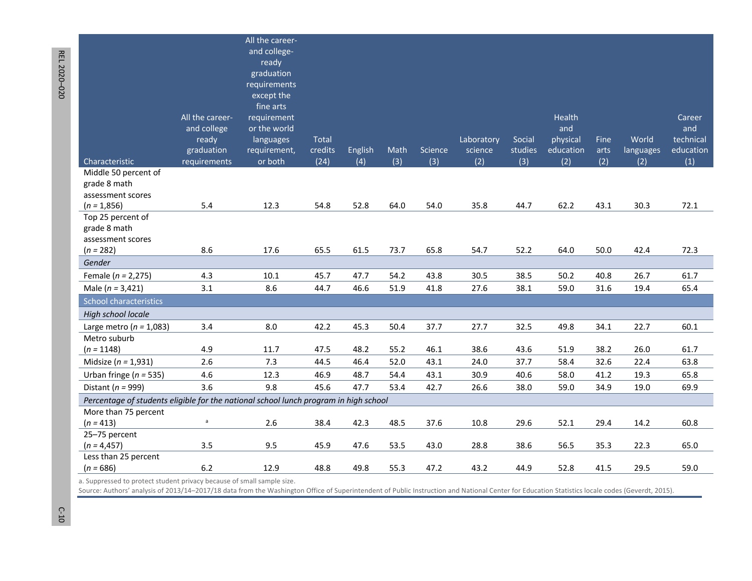|                                                                                      |                 | All the career-            |         |         |      |         |            |         |           |      |           |           |
|--------------------------------------------------------------------------------------|-----------------|----------------------------|---------|---------|------|---------|------------|---------|-----------|------|-----------|-----------|
|                                                                                      |                 | and college-               |         |         |      |         |            |         |           |      |           |           |
|                                                                                      |                 | ready                      |         |         |      |         |            |         |           |      |           |           |
|                                                                                      |                 | graduation                 |         |         |      |         |            |         |           |      |           |           |
|                                                                                      |                 | requirements<br>except the |         |         |      |         |            |         |           |      |           |           |
|                                                                                      |                 | fine arts                  |         |         |      |         |            |         |           |      |           |           |
|                                                                                      | All the career- | requirement                |         |         |      |         |            |         | Health    |      |           | Career    |
|                                                                                      | and college     | or the world               |         |         |      |         |            |         | and       |      |           | and       |
|                                                                                      | ready           | languages                  | Total   |         |      |         | Laboratory | Social  | physical  | Fine | World     | technical |
|                                                                                      | graduation      | requirement,               | credits | English | Math | Science | science    | studies | education | arts | languages | education |
| Characteristic                                                                       | requirements    | or both                    | (24)    | (4)     | (3)  | (3)     | (2)        | (3)     | (2)       | (2)  | (2)       | (1)       |
| Middle 50 percent of                                                                 |                 |                            |         |         |      |         |            |         |           |      |           |           |
| grade 8 math                                                                         |                 |                            |         |         |      |         |            |         |           |      |           |           |
| assessment scores                                                                    |                 |                            |         |         |      |         |            |         |           |      |           |           |
| $(n = 1,856)$<br>Top 25 percent of                                                   | 5.4             | 12.3                       | 54.8    | 52.8    | 64.0 | 54.0    | 35.8       | 44.7    | 62.2      | 43.1 | 30.3      | 72.1      |
| grade 8 math                                                                         |                 |                            |         |         |      |         |            |         |           |      |           |           |
| assessment scores                                                                    |                 |                            |         |         |      |         |            |         |           |      |           |           |
| $(n = 282)$                                                                          | 8.6             | 17.6                       | 65.5    | 61.5    | 73.7 | 65.8    | 54.7       | 52.2    | 64.0      | 50.0 | 42.4      | 72.3      |
| Gender                                                                               |                 |                            |         |         |      |         |            |         |           |      |           |           |
| Female ( $n = 2,275$ )                                                               | 4.3             | $10.1\,$                   | 45.7    | 47.7    | 54.2 | 43.8    | 30.5       | 38.5    | 50.2      | 40.8 | 26.7      | 61.7      |
| Male ( $n = 3,421$ )                                                                 | 3.1             | 8.6                        | 44.7    | 46.6    | 51.9 | 41.8    | 27.6       | 38.1    | 59.0      | 31.6 | 19.4      | 65.4      |
| <b>School characteristics</b>                                                        |                 |                            |         |         |      |         |            |         |           |      |           |           |
| High school locale                                                                   |                 |                            |         |         |      |         |            |         |           |      |           |           |
| Large metro ( $n = 1,083$ )                                                          | 3.4             | 8.0                        | 42.2    | 45.3    | 50.4 | 37.7    | 27.7       | 32.5    | 49.8      | 34.1 | 22.7      | 60.1      |
| Metro suburb                                                                         |                 |                            |         |         |      |         |            |         |           |      |           |           |
| $(n = 1148)$                                                                         | 4.9             | 11.7                       | 47.5    | 48.2    | 55.2 | 46.1    | 38.6       | 43.6    | 51.9      | 38.2 | 26.0      | 61.7      |
| Midsize ( $n = 1,931$ )                                                              | 2.6             | 7.3                        | 44.5    | 46.4    | 52.0 | 43.1    | 24.0       | 37.7    | 58.4      | 32.6 | 22.4      | 63.8      |
| Urban fringe ( $n = 535$ )                                                           | 4.6             | 12.3                       | 46.9    | 48.7    | 54.4 | 43.1    | 30.9       | 40.6    | 58.0      | 41.2 | 19.3      | 65.8      |
| Distant ( $n = 999$ )                                                                | 3.6             | 9.8                        | 45.6    | 47.7    | 53.4 | 42.7    | 26.6       | 38.0    | 59.0      | 34.9 | 19.0      | 69.9      |
| Percentage of students eligible for the national school lunch program in high school |                 |                            |         |         |      |         |            |         |           |      |           |           |
| More than 75 percent                                                                 |                 |                            |         |         |      |         |            |         |           |      |           |           |
| $(n = 413)$                                                                          | $\mathsf a$     | 2.6                        | 38.4    | 42.3    | 48.5 | 37.6    | 10.8       | 29.6    | 52.1      | 29.4 | 14.2      | 60.8      |
| 25-75 percent                                                                        |                 |                            |         |         |      |         |            |         |           |      |           |           |
| $(n = 4, 457)$                                                                       | 3.5             | 9.5                        | 45.9    | 47.6    | 53.5 | 43.0    | 28.8       | 38.6    | 56.5      | 35.3 | 22.3      | 65.0      |
| Less than 25 percent<br>$(n = 686)$                                                  | $6.2$           | 12.9                       | 48.8    | 49.8    | 55.3 | 47.2    | 43.2       | 44.9    | 52.8      | 41.5 | 29.5      | 59.0      |
|                                                                                      |                 |                            |         |         |      |         |            |         |           |      |           |           |

a. Suppressed to protect student privacy because of small sample size.

Source: Authors' analysis of 2013/14–2017/18 data from the Washington Office of Superintendent of Public Instruction and National Center for Education Statistics locale codes (Geverdt, 2015).

# REL 2020-020 REL 2020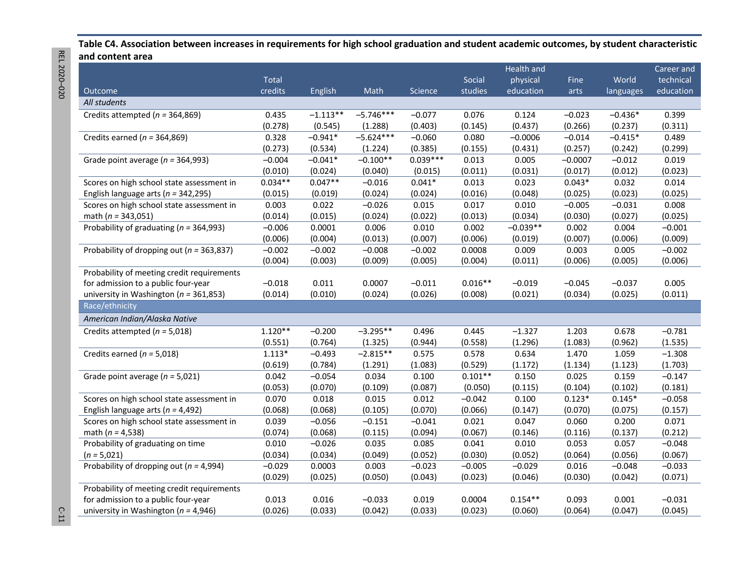**Table C4. Association between increases in requirements for high school graduation and student academic outcomes, by student characteristic and content area** 

|                                               |           |            |             |            |           | Health and |             |           | Career and |
|-----------------------------------------------|-----------|------------|-------------|------------|-----------|------------|-------------|-----------|------------|
|                                               | Total     |            |             |            | Social    | physical   | <b>Fine</b> | World     | technical  |
| Outcome                                       | credits   | English    | Math        | Science    | studies   | education  | arts        | languages | education  |
| All students                                  |           |            |             |            |           |            |             |           |            |
| Credits attempted ( $n = 364,869$ )           | 0.435     | $-1.113**$ | $-5.746***$ | $-0.077$   | 0.076     | 0.124      | $-0.023$    | $-0.436*$ | 0.399      |
|                                               | (0.278)   | (0.545)    | (1.288)     | (0.403)    | (0.145)   | (0.437)    | (0.266)     | (0.237)   | (0.311)    |
| Credits earned ( $n = 364,869$ )              | 0.328     | $-0.941*$  | $-5.624***$ | $-0.060$   | 0.080     | $-0.0006$  | $-0.014$    | $-0.415*$ | 0.489      |
|                                               | (0.273)   | (0.534)    | (1.224)     | (0.385)    | (0.155)   | (0.431)    | (0.257)     | (0.242)   | (0.299)    |
| Grade point average ( $n = 364,993$ )         | $-0.004$  | $-0.041*$  | $-0.100**$  | $0.039***$ | 0.013     | 0.005      | $-0.0007$   | $-0.012$  | 0.019      |
|                                               | (0.010)   | (0.024)    | (0.040)     | (0.015)    | (0.011)   | (0.031)    | (0.017)     | (0.012)   | (0.023)    |
| Scores on high school state assessment in     | $0.034**$ | $0.047**$  | $-0.016$    | $0.041*$   | 0.013     | 0.023      | $0.043*$    | 0.032     | 0.014      |
| English language arts ( $n = 342,295$ )       | (0.015)   | (0.019)    | (0.024)     | (0.024)    | (0.016)   | (0.048)    | (0.025)     | (0.023)   | (0.025)    |
| Scores on high school state assessment in     | 0.003     | 0.022      | $-0.026$    | 0.015      | 0.017     | 0.010      | $-0.005$    | $-0.031$  | 0.008      |
| math ( $n = 343,051$ )                        | (0.014)   | (0.015)    | (0.024)     | (0.022)    | (0.013)   | (0.034)    | (0.030)     | (0.027)   | (0.025)    |
| Probability of graduating ( $n = 364,993$ )   | $-0.006$  | 0.0001     | 0.006       | 0.010      | 0.002     | $-0.039**$ | 0.002       | 0.004     | $-0.001$   |
|                                               | (0.006)   | (0.004)    | (0.013)     | (0.007)    | (0.006)   | (0.019)    | (0.007)     | (0.006)   | (0.009)    |
| Probability of dropping out ( $n = 363,837$ ) | $-0.002$  | $-0.002$   | $-0.008$    | $-0.002$   | 0.0008    | 0.009      | 0.003       | 0.005     | $-0.002$   |
|                                               | (0.004)   | (0.003)    | (0.009)     | (0.005)    | (0.004)   | (0.011)    | (0.006)     | (0.005)   | (0.006)    |
| Probability of meeting credit requirements    |           |            |             |            |           |            |             |           |            |
| for admission to a public four-year           | $-0.018$  | 0.011      | 0.0007      | $-0.011$   | $0.016**$ | $-0.019$   | $-0.045$    | $-0.037$  | 0.005      |
| university in Washington ( $n = 361,853$ )    | (0.014)   | (0.010)    | (0.024)     | (0.026)    | (0.008)   | (0.021)    | (0.034)     | (0.025)   | (0.011)    |
| Race/ethnicity                                |           |            |             |            |           |            |             |           |            |
| American Indian/Alaska Native                 |           |            |             |            |           |            |             |           |            |
| Credits attempted ( $n = 5,018$ )             | $1.120**$ | $-0.200$   | $-3.295**$  | 0.496      | 0.445     | $-1.327$   | 1.203       | 0.678     | $-0.781$   |
|                                               | (0.551)   | (0.764)    | (1.325)     | (0.944)    | (0.558)   | (1.296)    | (1.083)     | (0.962)   | (1.535)    |
| Credits earned ( $n = 5,018$ )                | $1.113*$  | $-0.493$   | $-2.815**$  | 0.575      | 0.578     | 0.634      | 1.470       | 1.059     | $-1.308$   |
|                                               | (0.619)   | (0.784)    | (1.291)     | (1.083)    | (0.529)   | (1.172)    | (1.134)     | (1.123)   | (1.703)    |
| Grade point average ( $n = 5,021$ )           | 0.042     | $-0.054$   | 0.034       | 0.100      | $0.101**$ | 0.150      | 0.025       | 0.159     | $-0.147$   |
|                                               | (0.053)   | (0.070)    | (0.109)     | (0.087)    | (0.050)   | (0.115)    | (0.104)     | (0.102)   | (0.181)    |
| Scores on high school state assessment in     | 0.070     | 0.018      | 0.015       | 0.012      | $-0.042$  | 0.100      | $0.123*$    | $0.145*$  | $-0.058$   |
| English language arts ( $n = 4,492$ )         | (0.068)   | (0.068)    | (0.105)     | (0.070)    | (0.066)   | (0.147)    | (0.070)     | (0.075)   | (0.157)    |
| Scores on high school state assessment in     | 0.039     | $-0.056$   | $-0.151$    | $-0.041$   | 0.021     | 0.047      | 0.060       | 0.200     | 0.071      |
| math ( $n = 4,538$ )                          | (0.074)   | (0.068)    | (0.115)     | (0.094)    | (0.067)   | (0.146)    | (0.116)     | (0.137)   | (0.212)    |
| Probability of graduating on time             | 0.010     | $-0.026$   | 0.035       | 0.085      | 0.041     | 0.010      | 0.053       | 0.057     | $-0.048$   |
| $(n = 5,021)$                                 | (0.034)   | (0.034)    | (0.049)     | (0.052)    | (0.030)   | (0.052)    | (0.064)     | (0.056)   | (0.067)    |
| Probability of dropping out ( $n = 4,994$ )   | $-0.029$  | 0.0003     | 0.003       | $-0.023$   | $-0.005$  | $-0.029$   | 0.016       | $-0.048$  | $-0.033$   |
|                                               | (0.029)   | (0.025)    | (0.050)     | (0.043)    | (0.023)   | (0.046)    | (0.030)     | (0.042)   | (0.071)    |
| Probability of meeting credit requirements    |           |            |             |            |           |            |             |           |            |
| for admission to a public four-year           | 0.013     | 0.016      | $-0.033$    | 0.019      | 0.0004    | $0.154**$  | 0.093       | 0.001     | $-0.031$   |
| university in Washington ( $n = 4,946$ )      | (0.026)   | (0.033)    | (0.042)     | (0.033)    | (0.023)   | (0.060)    | (0.064)     | (0.047)   | (0.045)    |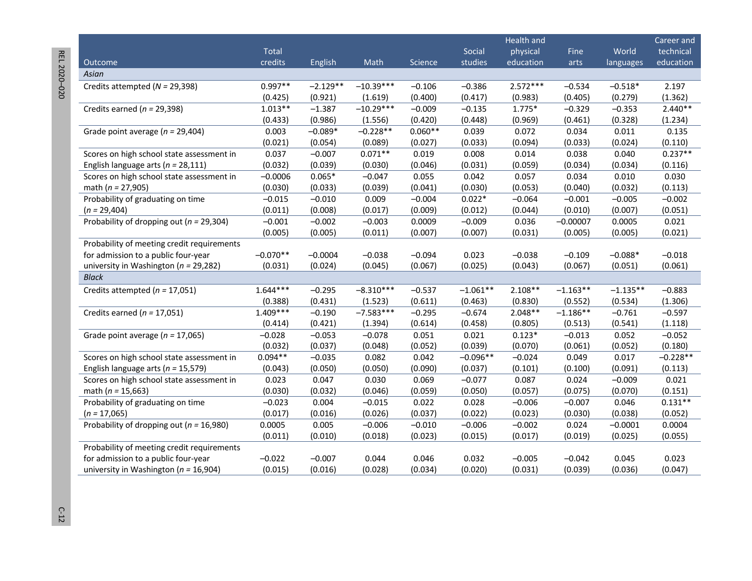|                                              |            |            |             |           |            | Health and |            |            | Career and |
|----------------------------------------------|------------|------------|-------------|-----------|------------|------------|------------|------------|------------|
|                                              | Total      |            |             |           | Social     | physical   | Fine       | World      | technical  |
| Outcome                                      | credits    | English    | Math        | Science   | studies    | education  | arts       | languages  | education  |
| Asian                                        |            |            |             |           |            |            |            |            |            |
| Credits attempted ( $N = 29,398$ )           | $0.997**$  | $-2.129**$ | $-10.39***$ | $-0.106$  | $-0.386$   | $2.572***$ | $-0.534$   | $-0.518*$  | 2.197      |
|                                              | (0.425)    | (0.921)    | (1.619)     | (0.400)   | (0.417)    | (0.983)    | (0.405)    | (0.279)    | (1.362)    |
| Credits earned ( $n = 29,398$ )              | $1.013**$  | $-1.387$   | $-10.29***$ | $-0.009$  | $-0.135$   | $1.775*$   | $-0.329$   | $-0.353$   | $2.440**$  |
|                                              | (0.433)    | (0.986)    | (1.556)     | (0.420)   | (0.448)    | (0.969)    | (0.461)    | (0.328)    | (1.234)    |
| Grade point average ( $n = 29,404$ )         | 0.003      | $-0.089*$  | $-0.228**$  | $0.060**$ | 0.039      | 0.072      | 0.034      | 0.011      | 0.135      |
|                                              | (0.021)    | (0.054)    | (0.089)     | (0.027)   | (0.033)    | (0.094)    | (0.033)    | (0.024)    | (0.110)    |
| Scores on high school state assessment in    | 0.037      | $-0.007$   | $0.071**$   | 0.019     | 0.008      | 0.014      | 0.038      | 0.040      | $0.237**$  |
| English language arts ( $n = 28,111$ )       | (0.032)    | (0.039)    | (0.030)     | (0.046)   | (0.031)    | (0.059)    | (0.034)    | (0.034)    | (0.116)    |
| Scores on high school state assessment in    | $-0.0006$  | $0.065*$   | $-0.047$    | 0.055     | 0.042      | 0.057      | 0.034      | 0.010      | 0.030      |
| math ( $n = 27,905$ )                        | (0.030)    | (0.033)    | (0.039)     | (0.041)   | (0.030)    | (0.053)    | (0.040)    | (0.032)    | (0.113)    |
| Probability of graduating on time            | $-0.015$   | $-0.010$   | 0.009       | $-0.004$  | $0.022*$   | $-0.064$   | $-0.001$   | $-0.005$   | $-0.002$   |
| $(n = 29,404)$                               | (0.011)    | (0.008)    | (0.017)     | (0.009)   | (0.012)    | (0.044)    | (0.010)    | (0.007)    | (0.051)    |
| Probability of dropping out ( $n = 29,304$ ) | $-0.001$   | $-0.002$   | $-0.003$    | 0.0009    | $-0.009$   | 0.036      | $-0.00007$ | 0.0005     | 0.021      |
|                                              | (0.005)    | (0.005)    | (0.011)     | (0.007)   | (0.007)    | (0.031)    | (0.005)    | (0.005)    | (0.021)    |
| Probability of meeting credit requirements   |            |            |             |           |            |            |            |            |            |
| for admission to a public four-year          | $-0.070**$ | $-0.0004$  | $-0.038$    | $-0.094$  | 0.023      | $-0.038$   | $-0.109$   | $-0.088*$  | $-0.018$   |
| university in Washington ( $n = 29,282$ )    | (0.031)    | (0.024)    | (0.045)     | (0.067)   | (0.025)    | (0.043)    | (0.067)    | (0.051)    | (0.061)    |
| <b>Black</b>                                 |            |            |             |           |            |            |            |            |            |
| Credits attempted ( $n = 17,051$ )           | $1.644***$ | $-0.295$   | $-8.310***$ | $-0.537$  | $-1.061**$ | $2.108**$  | $-1.163**$ | $-1.135**$ | $-0.883$   |
|                                              | (0.388)    | (0.431)    | (1.523)     | (0.611)   | (0.463)    | (0.830)    | (0.552)    | (0.534)    | (1.306)    |
| Credits earned ( $n = 17,051$ )              | $1.409***$ | $-0.190$   | $-7.583***$ | $-0.295$  | $-0.674$   | $2.048**$  | $-1.186**$ | $-0.761$   | $-0.597$   |
|                                              | (0.414)    | (0.421)    | (1.394)     | (0.614)   | (0.458)    | (0.805)    | (0.513)    | (0.541)    | (1.118)    |
| Grade point average ( $n = 17,065$ )         | $-0.028$   | $-0.053$   | $-0.078$    | 0.051     | 0.021      | $0.123*$   | $-0.013$   | 0.052      | $-0.052$   |
|                                              | (0.032)    | (0.037)    | (0.048)     | (0.052)   | (0.039)    | (0.070)    | (0.061)    | (0.052)    | (0.180)    |
| Scores on high school state assessment in    | $0.094**$  | $-0.035$   | 0.082       | 0.042     | $-0.096**$ | $-0.024$   | 0.049      | 0.017      | $-0.228**$ |
| English language arts ( $n = 15,579$ )       | (0.043)    | (0.050)    | (0.050)     | (0.090)   | (0.037)    | (0.101)    | (0.100)    | (0.091)    | (0.113)    |
| Scores on high school state assessment in    | 0.023      | 0.047      | 0.030       | 0.069     | $-0.077$   | 0.087      | 0.024      | $-0.009$   | 0.021      |
| math ( $n = 15,663$ )                        | (0.030)    | (0.032)    | (0.046)     | (0.059)   | (0.050)    | (0.057)    | (0.075)    | (0.070)    | (0.151)    |
| Probability of graduating on time            | $-0.023$   | 0.004      | $-0.015$    | 0.022     | 0.028      | $-0.006$   | $-0.007$   | 0.046      | $0.131**$  |
| $(n = 17,065)$                               | (0.017)    | (0.016)    | (0.026)     | (0.037)   | (0.022)    | (0.023)    | (0.030)    | (0.038)    | (0.052)    |
| Probability of dropping out ( $n = 16,980$ ) | 0.0005     | 0.005      | $-0.006$    | $-0.010$  | $-0.006$   | $-0.002$   | 0.024      | $-0.0001$  | 0.0004     |
|                                              | (0.011)    | (0.010)    | (0.018)     | (0.023)   | (0.015)    | (0.017)    | (0.019)    | (0.025)    | (0.055)    |
| Probability of meeting credit requirements   |            |            |             |           |            |            |            |            |            |
| for admission to a public four-year          | $-0.022$   | $-0.007$   | 0.044       | 0.046     | 0.032      | $-0.005$   | $-0.042$   | 0.045      | 0.023      |
| university in Washington ( $n = 16,904$ )    | (0.015)    | (0.016)    | (0.028)     | (0.034)   | (0.020)    | (0.031)    | (0.039)    | (0.036)    | (0.047)    |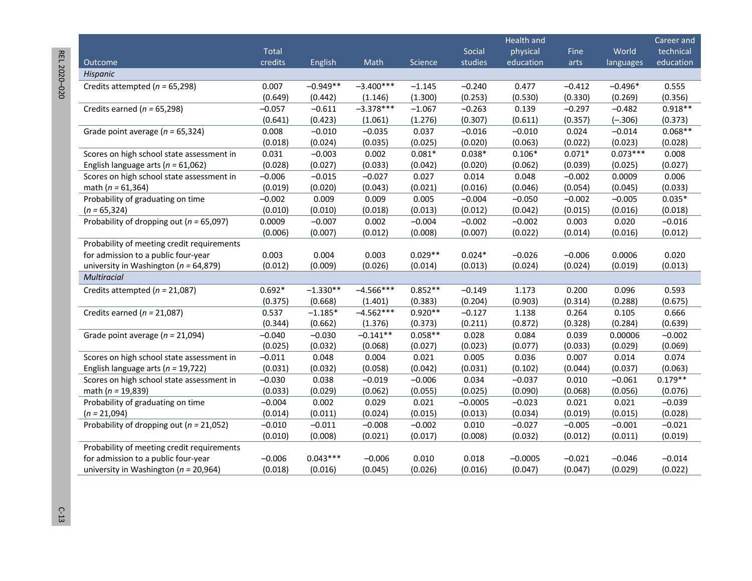REL 2020-020 REL 2020 –020 C-13

|                                              |              |            |             |           |           | Health and |          |            | Career and |
|----------------------------------------------|--------------|------------|-------------|-----------|-----------|------------|----------|------------|------------|
|                                              | <b>Total</b> |            |             |           | Social    | physical   | Fine     | World      | technical  |
| Outcome                                      | credits      | English    | Math        | Science   | studies   | education  | arts     | languages  | education  |
| Hispanic                                     |              |            |             |           |           |            |          |            |            |
| Credits attempted ( $n = 65,298$ )           | 0.007        | $-0.949**$ | $-3.400***$ | $-1.145$  | $-0.240$  | 0.477      | $-0.412$ | $-0.496*$  | 0.555      |
|                                              | (0.649)      | (0.442)    | (1.146)     | (1.300)   | (0.253)   | (0.530)    | (0.330)  | (0.269)    | (0.356)    |
| Credits earned ( $n = 65,298$ )              | $-0.057$     | $-0.611$   | $-3.378***$ | $-1.067$  | $-0.263$  | 0.139      | $-0.297$ | $-0.482$   | $0.918**$  |
|                                              | (0.641)      | (0.423)    | (1.061)     | (1.276)   | (0.307)   | (0.611)    | (0.357)  | $(-.306)$  | (0.373)    |
| Grade point average ( $n = 65,324$ )         | 0.008        | $-0.010$   | $-0.035$    | 0.037     | $-0.016$  | $-0.010$   | 0.024    | $-0.014$   | $0.068**$  |
|                                              | (0.018)      | (0.024)    | (0.035)     | (0.025)   | (0.020)   | (0.063)    | (0.022)  | (0.023)    | (0.028)    |
| Scores on high school state assessment in    | 0.031        | $-0.003$   | 0.002       | $0.081*$  | $0.038*$  | $0.106*$   | $0.071*$ | $0.073***$ | 0.008      |
| English language arts ( $n = 61,062$ )       | (0.028)      | (0.027)    | (0.033)     | (0.042)   | (0.020)   | (0.062)    | (0.039)  | (0.025)    | (0.027)    |
| Scores on high school state assessment in    | $-0.006$     | $-0.015$   | $-0.027$    | 0.027     | 0.014     | 0.048      | $-0.002$ | 0.0009     | 0.006      |
| math ( $n = 61,364$ )                        | (0.019)      | (0.020)    | (0.043)     | (0.021)   | (0.016)   | (0.046)    | (0.054)  | (0.045)    | (0.033)    |
| Probability of graduating on time            | $-0.002$     | 0.009      | 0.009       | 0.005     | $-0.004$  | $-0.050$   | $-0.002$ | $-0.005$   | $0.035*$   |
| $(n = 65, 324)$                              | (0.010)      | (0.010)    | (0.018)     | (0.013)   | (0.012)   | (0.042)    | (0.015)  | (0.016)    | (0.018)    |
| Probability of dropping out ( $n = 65,097$ ) | 0.0009       | $-0.007$   | 0.002       | $-0.004$  | $-0.002$  | $-0.002$   | 0.003    | 0.020      | $-0.016$   |
|                                              | (0.006)      | (0.007)    | (0.012)     | (0.008)   | (0.007)   | (0.022)    | (0.014)  | (0.016)    | (0.012)    |
| Probability of meeting credit requirements   |              |            |             |           |           |            |          |            |            |
| for admission to a public four-year          | 0.003        | 0.004      | 0.003       | $0.029**$ | $0.024*$  | $-0.026$   | $-0.006$ | 0.0006     | 0.020      |
| university in Washington ( $n = 64,879$ )    | (0.012)      | (0.009)    | (0.026)     | (0.014)   | (0.013)   | (0.024)    | (0.024)  | (0.019)    | (0.013)    |
| <b>Multiracial</b>                           |              |            |             |           |           |            |          |            |            |
| Credits attempted ( $n = 21,087$ )           | $0.692*$     | $-1.330**$ | $-4.566***$ | $0.852**$ | $-0.149$  | 1.173      | 0.200    | 0.096      | 0.593      |
|                                              | (0.375)      | (0.668)    | (1.401)     | (0.383)   | (0.204)   | (0.903)    | (0.314)  | (0.288)    | (0.675)    |
| Credits earned ( $n = 21,087$ )              | 0.537        | $-1.185*$  | $-4.562***$ | $0.920**$ | $-0.127$  | 1.138      | 0.264    | 0.105      | 0.666      |
|                                              | (0.344)      | (0.662)    | (1.376)     | (0.373)   | (0.211)   | (0.872)    | (0.328)  | (0.284)    | (0.639)    |
| Grade point average ( $n = 21,094$ )         | $-0.040$     | $-0.030$   | $-0.141**$  | $0.058**$ | 0.028     | 0.084      | 0.039    | 0.00006    | $-0.002$   |
|                                              | (0.025)      | (0.032)    | (0.068)     | (0.027)   | (0.023)   | (0.077)    | (0.033)  | (0.029)    | (0.069)    |
| Scores on high school state assessment in    | $-0.011$     | 0.048      | 0.004       | 0.021     | 0.005     | 0.036      | 0.007    | 0.014      | 0.074      |
| English language arts ( $n = 19,722$ )       | (0.031)      | (0.032)    | (0.058)     | (0.042)   | (0.031)   | (0.102)    | (0.044)  | (0.037)    | (0.063)    |
| Scores on high school state assessment in    | $-0.030$     | 0.038      | $-0.019$    | $-0.006$  | 0.034     | $-0.037$   | 0.010    | $-0.061$   | $0.179**$  |
| math ( $n = 19,839$ )                        | (0.033)      | (0.029)    | (0.062)     | (0.055)   | (0.025)   | (0.090)    | (0.068)  | (0.056)    | (0.076)    |
| Probability of graduating on time            | $-0.004$     | 0.002      | 0.029       | 0.021     | $-0.0005$ | $-0.023$   | 0.021    | 0.021      | $-0.039$   |
| $(n = 21,094)$                               | (0.014)      | (0.011)    | (0.024)     | (0.015)   | (0.013)   | (0.034)    | (0.019)  | (0.015)    | (0.028)    |
| Probability of dropping out ( $n = 21,052$ ) | $-0.010$     | $-0.011$   | $-0.008$    | $-0.002$  | 0.010     | $-0.027$   | $-0.005$ | $-0.001$   | $-0.021$   |
|                                              | (0.010)      | (0.008)    | (0.021)     | (0.017)   | (0.008)   | (0.032)    | (0.012)  | (0.011)    | (0.019)    |
| Probability of meeting credit requirements   |              |            |             |           |           |            |          |            |            |
| for admission to a public four-year          | $-0.006$     | $0.043***$ | $-0.006$    | 0.010     | 0.018     | $-0.0005$  | $-0.021$ | $-0.046$   | $-0.014$   |
| university in Washington ( $n = 20,964$ )    | (0.018)      | (0.016)    | (0.045)     | (0.026)   | (0.016)   | (0.047)    | (0.047)  | (0.029)    | (0.022)    |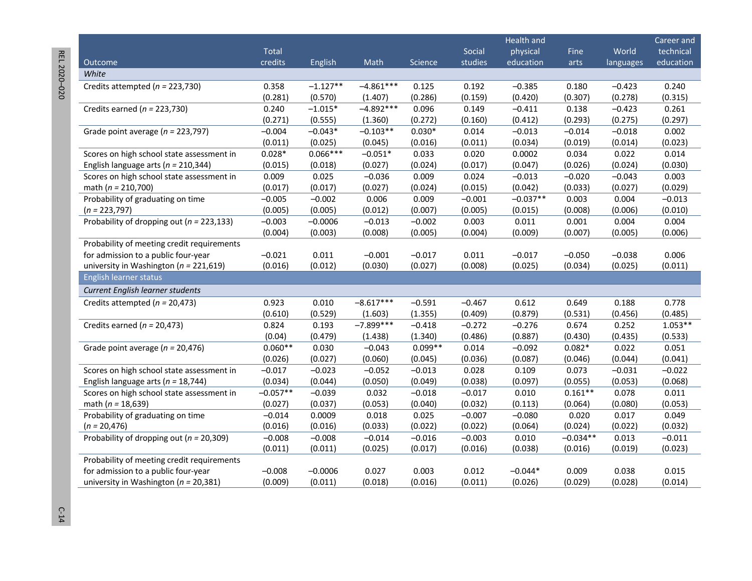|                                               |            |            |             |           |          | Health and |            |           | Career and |
|-----------------------------------------------|------------|------------|-------------|-----------|----------|------------|------------|-----------|------------|
|                                               | Total      |            |             |           | Social   | physical   | Fine       | World     | technical  |
| Outcome                                       | credits    | English    | Math        | Science   | studies  | education  | arts       | languages | education  |
| White                                         |            |            |             |           |          |            |            |           |            |
| Credits attempted ( $n = 223,730$ )           | 0.358      | $-1.127**$ | $-4.861***$ | 0.125     | 0.192    | $-0.385$   | 0.180      | $-0.423$  | 0.240      |
|                                               | (0.281)    | (0.570)    | (1.407)     | (0.286)   | (0.159)  | (0.420)    | (0.307)    | (0.278)   | (0.315)    |
| Credits earned ( $n = 223,730$ )              | 0.240      | $-1.015*$  | $-4.892***$ | 0.096     | 0.149    | $-0.411$   | 0.138      | $-0.423$  | 0.261      |
|                                               | (0.271)    | (0.555)    | (1.360)     | (0.272)   | (0.160)  | (0.412)    | (0.293)    | (0.275)   | (0.297)    |
| Grade point average ( $n = 223,797$ )         | $-0.004$   | $-0.043*$  | $-0.103**$  | $0.030*$  | 0.014    | $-0.013$   | $-0.014$   | $-0.018$  | 0.002      |
|                                               | (0.011)    | (0.025)    | (0.045)     | (0.016)   | (0.011)  | (0.034)    | (0.019)    | (0.014)   | (0.023)    |
| Scores on high school state assessment in     | $0.028*$   | $0.066***$ | $-0.051*$   | 0.033     | 0.020    | 0.0002     | 0.034      | 0.022     | 0.014      |
| English language arts ( $n = 210,344$ )       | (0.015)    | (0.018)    | (0.027)     | (0.024)   | (0.017)  | (0.047)    | (0.026)    | (0.024)   | (0.030)    |
| Scores on high school state assessment in     | 0.009      | 0.025      | $-0.036$    | 0.009     | 0.024    | $-0.013$   | $-0.020$   | $-0.043$  | 0.003      |
| math ( $n = 210,700$ )                        | (0.017)    | (0.017)    | (0.027)     | (0.024)   | (0.015)  | (0.042)    | (0.033)    | (0.027)   | (0.029)    |
| Probability of graduating on time             | $-0.005$   | $-0.002$   | 0.006       | 0.009     | $-0.001$ | $-0.037**$ | 0.003      | 0.004     | $-0.013$   |
| $(n = 223,797)$                               | (0.005)    | (0.005)    | (0.012)     | (0.007)   | (0.005)  | (0.015)    | (0.008)    | (0.006)   | (0.010)    |
| Probability of dropping out ( $n = 223,133$ ) | $-0.003$   | $-0.0006$  | $-0.013$    | $-0.002$  | 0.003    | 0.011      | 0.001      | 0.004     | 0.004      |
|                                               | (0.004)    | (0.003)    | (0.008)     | (0.005)   | (0.004)  | (0.009)    | (0.007)    | (0.005)   | (0.006)    |
| Probability of meeting credit requirements    |            |            |             |           |          |            |            |           |            |
| for admission to a public four-year           | $-0.021$   | 0.011      | $-0.001$    | $-0.017$  | 0.011    | $-0.017$   | $-0.050$   | $-0.038$  | 0.006      |
| university in Washington ( $n = 221,619$ )    | (0.016)    | (0.012)    | (0.030)     | (0.027)   | (0.008)  | (0.025)    | (0.034)    | (0.025)   | (0.011)    |
| English learner status                        |            |            |             |           |          |            |            |           |            |
| Current English learner students              |            |            |             |           |          |            |            |           |            |
| Credits attempted ( $n = 20,473$ )            | 0.923      | 0.010      | $-8.617***$ | $-0.591$  | $-0.467$ | 0.612      | 0.649      | 0.188     | 0.778      |
|                                               | (0.610)    | (0.529)    | (1.603)     | (1.355)   | (0.409)  | (0.879)    | (0.531)    | (0.456)   | (0.485)    |
| Credits earned ( $n = 20,473$ )               | 0.824      | 0.193      | $-7.899***$ | $-0.418$  | $-0.272$ | $-0.276$   | 0.674      | 0.252     | $1.053**$  |
|                                               | (0.04)     | (0.479)    | (1.438)     | (1.340)   | (0.486)  | (0.887)    | (0.430)    | (0.435)   | (0.533)    |
| Grade point average ( $n = 20,476$ )          | $0.060**$  | 0.030      | $-0.043$    | $0.099**$ | 0.014    | $-0.092$   | $0.082*$   | 0.022     | 0.051      |
|                                               | (0.026)    | (0.027)    | (0.060)     | (0.045)   | (0.036)  | (0.087)    | (0.046)    | (0.044)   | (0.041)    |
| Scores on high school state assessment in     | $-0.017$   | $-0.023$   | $-0.052$    | $-0.013$  | 0.028    | 0.109      | 0.073      | $-0.031$  | $-0.022$   |
| English language arts ( $n = 18,744$ )        | (0.034)    | (0.044)    | (0.050)     | (0.049)   | (0.038)  | (0.097)    | (0.055)    | (0.053)   | (0.068)    |
| Scores on high school state assessment in     | $-0.057**$ | $-0.039$   | 0.032       | $-0.018$  | $-0.017$ | 0.010      | $0.161**$  | 0.078     | 0.011      |
| math ( $n = 18,639$ )                         | (0.027)    | (0.037)    | (0.053)     | (0.040)   | (0.032)  | (0.113)    | (0.064)    | (0.080)   | (0.053)    |
| Probability of graduating on time             | $-0.014$   | 0.0009     | 0.018       | 0.025     | $-0.007$ | $-0.080$   | 0.020      | 0.017     | 0.049      |
| $(n = 20,476)$                                | (0.016)    | (0.016)    | (0.033)     | (0.022)   | (0.022)  | (0.064)    | (0.024)    | (0.022)   | (0.032)    |
| Probability of dropping out ( $n = 20,309$ )  | $-0.008$   | $-0.008$   | $-0.014$    | $-0.016$  | $-0.003$ | 0.010      | $-0.034**$ | 0.013     | $-0.011$   |
|                                               | (0.011)    | (0.011)    | (0.025)     | (0.017)   | (0.016)  | (0.038)    | (0.016)    | (0.019)   | (0.023)    |
| Probability of meeting credit requirements    |            |            |             |           |          |            |            |           |            |
| for admission to a public four-year           | $-0.008$   | $-0.0006$  | 0.027       | 0.003     | 0.012    | $-0.044*$  | 0.009      | 0.038     | 0.015      |
| university in Washington ( $n = 20,381$ )     | (0.009)    | (0.011)    | (0.018)     | (0.016)   | (0.011)  | (0.026)    | (0.029)    | (0.028)   | (0.014)    |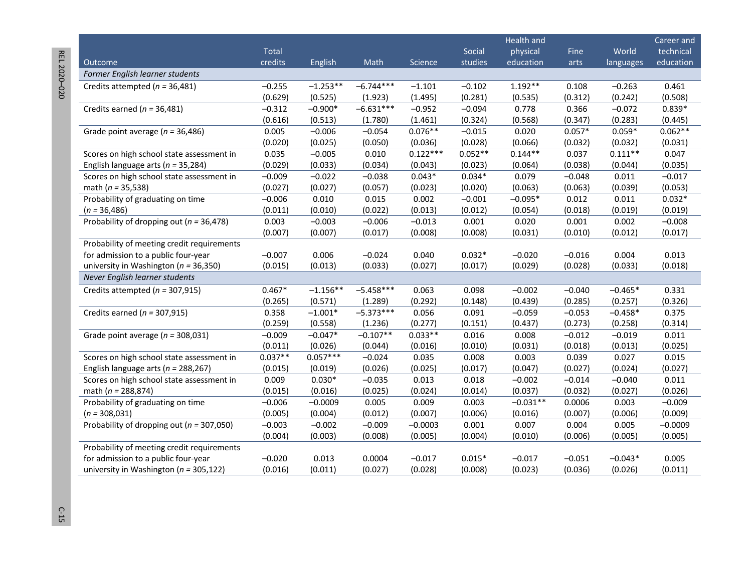REL 2020-020 REL 2020 –020 C-15

|                                               |              |            |             |            |           | Health and |          |           | Career and |
|-----------------------------------------------|--------------|------------|-------------|------------|-----------|------------|----------|-----------|------------|
|                                               | <b>Total</b> |            |             |            | Social    | physical   | Fine     | World     | technical  |
| Outcome                                       | credits      | English    | Math        | Science    | studies   | education  | arts     | languages | education  |
| Former English learner students               |              |            |             |            |           |            |          |           |            |
| Credits attempted ( $n = 36,481$ )            | $-0.255$     | $-1.253**$ | $-6.744***$ | $-1.101$   | $-0.102$  | $1.192**$  | 0.108    | $-0.263$  | 0.461      |
|                                               | (0.629)      | (0.525)    | (1.923)     | (1.495)    | (0.281)   | (0.535)    | (0.312)  | (0.242)   | (0.508)    |
| Credits earned ( $n = 36,481$ )               | $-0.312$     | $-0.900*$  | $-6.631***$ | $-0.952$   | $-0.094$  | 0.778      | 0.366    | $-0.072$  | $0.839*$   |
|                                               | (0.616)      | (0.513)    | (1.780)     | (1.461)    | (0.324)   | (0.568)    | (0.347)  | (0.283)   | (0.445)    |
| Grade point average ( $n = 36,486$ )          | 0.005        | $-0.006$   | $-0.054$    | $0.076**$  | $-0.015$  | 0.020      | $0.057*$ | $0.059*$  | $0.062**$  |
|                                               | (0.020)      | (0.025)    | (0.050)     | (0.036)    | (0.028)   | (0.066)    | (0.032)  | (0.032)   | (0.031)    |
| Scores on high school state assessment in     | 0.035        | $-0.005$   | 0.010       | $0.122***$ | $0.052**$ | $0.144**$  | 0.037    | $0.111**$ | 0.047      |
| English language arts ( $n = 35,284$ )        | (0.029)      | (0.033)    | (0.034)     | (0.043)    | (0.023)   | (0.064)    | (0.038)  | (0.044)   | (0.035)    |
| Scores on high school state assessment in     | $-0.009$     | $-0.022$   | $-0.038$    | $0.043*$   | $0.034*$  | 0.079      | $-0.048$ | 0.011     | $-0.017$   |
| math ( $n = 35,538$ )                         | (0.027)      | (0.027)    | (0.057)     | (0.023)    | (0.020)   | (0.063)    | (0.063)  | (0.039)   | (0.053)    |
| Probability of graduating on time             | $-0.006$     | 0.010      | 0.015       | 0.002      | $-0.001$  | $-0.095*$  | 0.012    | 0.011     | $0.032*$   |
| $(n = 36,486)$                                | (0.011)      | (0.010)    | (0.022)     | (0.013)    | (0.012)   | (0.054)    | (0.018)  | (0.019)   | (0.019)    |
| Probability of dropping out ( $n = 36,478$ )  | 0.003        | $-0.003$   | $-0.006$    | $-0.013$   | 0.001     | 0.020      | 0.001    | 0.002     | $-0.008$   |
|                                               | (0.007)      | (0.007)    | (0.017)     | (0.008)    | (0.008)   | (0.031)    | (0.010)  | (0.012)   | (0.017)    |
| Probability of meeting credit requirements    |              |            |             |            |           |            |          |           |            |
| for admission to a public four-year           | $-0.007$     | 0.006      | $-0.024$    | 0.040      | $0.032*$  | $-0.020$   | $-0.016$ | 0.004     | 0.013      |
| university in Washington ( $n = 36,350$ )     | (0.015)      | (0.013)    | (0.033)     | (0.027)    | (0.017)   | (0.029)    | (0.028)  | (0.033)   | (0.018)    |
| Never English learner students                |              |            |             |            |           |            |          |           |            |
| Credits attempted ( $n = 307,915$ )           | $0.467*$     | $-1.156**$ | $-5.458***$ | 0.063      | 0.098     | $-0.002$   | $-0.040$ | $-0.465*$ | 0.331      |
|                                               | (0.265)      | (0.571)    | (1.289)     | (0.292)    | (0.148)   | (0.439)    | (0.285)  | (0.257)   | (0.326)    |
| Credits earned ( $n = 307,915$ )              | 0.358        | $-1.001*$  | $-5.373***$ | 0.056      | 0.091     | $-0.059$   | $-0.053$ | $-0.458*$ | 0.375      |
|                                               | (0.259)      | (0.558)    | (1.236)     | (0.277)    | (0.151)   | (0.437)    | (0.273)  | (0.258)   | (0.314)    |
| Grade point average ( $n = 308,031$ )         | $-0.009$     | $-0.047*$  | $-0.107**$  | $0.033**$  | 0.016     | 0.008      | $-0.012$ | $-0.019$  | 0.011      |
|                                               | (0.011)      | (0.026)    | (0.044)     | (0.016)    | (0.010)   | (0.031)    | (0.018)  | (0.013)   | (0.025)    |
| Scores on high school state assessment in     | $0.037**$    | $0.057***$ | $-0.024$    | 0.035      | 0.008     | 0.003      | 0.039    | 0.027     | 0.015      |
| English language arts ( $n = 288,267$ )       | (0.015)      | (0.019)    | (0.026)     | (0.025)    | (0.017)   | (0.047)    | (0.027)  | (0.024)   | (0.027)    |
| Scores on high school state assessment in     | 0.009        | $0.030*$   | $-0.035$    | 0.013      | 0.018     | $-0.002$   | $-0.014$ | $-0.040$  | 0.011      |
| math ( $n = 288,874$ )                        | (0.015)      | (0.016)    | (0.025)     | (0.024)    | (0.014)   | (0.037)    | (0.032)  | (0.027)   | (0.026)    |
| Probability of graduating on time             | $-0.006$     | $-0.0009$  | 0.005       | 0.009      | 0.003     | $-0.031**$ | 0.0006   | 0.003     | $-0.009$   |
| $(n = 308,031)$                               | (0.005)      | (0.004)    | (0.012)     | (0.007)    | (0.006)   | (0.016)    | (0.007)  | (0.006)   | (0.009)    |
| Probability of dropping out ( $n = 307,050$ ) | $-0.003$     | $-0.002$   | $-0.009$    | $-0.0003$  | 0.001     | 0.007      | 0.004    | 0.005     | $-0.0009$  |
|                                               | (0.004)      | (0.003)    | (0.008)     | (0.005)    | (0.004)   | (0.010)    | (0.006)  | (0.005)   | (0.005)    |
| Probability of meeting credit requirements    |              |            |             |            |           |            |          |           |            |
| for admission to a public four-year           | $-0.020$     | 0.013      | 0.0004      | $-0.017$   | $0.015*$  | $-0.017$   | $-0.051$ | $-0.043*$ | 0.005      |
| university in Washington ( $n = 305,122$ )    | (0.016)      | (0.011)    | (0.027)     | (0.028)    | (0.008)   | (0.023)    | (0.036)  | (0.026)   | (0.011)    |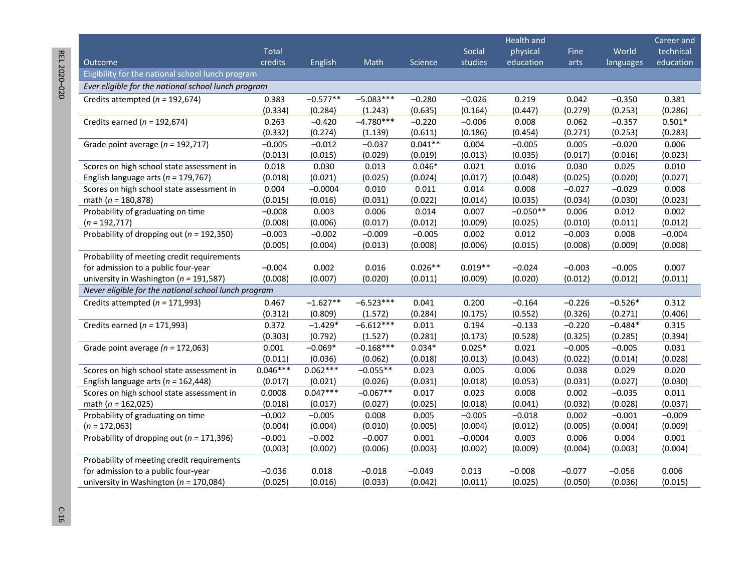| REL 2020-020 |  |
|--------------|--|
|              |  |
|              |  |
|              |  |
|              |  |
|              |  |
|              |  |
|              |  |
|              |  |
|              |  |
|              |  |
|              |  |
|              |  |
|              |  |
|              |  |
|              |  |
|              |  |
|              |  |
|              |  |
|              |  |
|              |  |
| ļ            |  |
|              |  |

**College** 

|                                                      |            |            |             |           |           | <b>Health and</b> |          |           | Career and |
|------------------------------------------------------|------------|------------|-------------|-----------|-----------|-------------------|----------|-----------|------------|
|                                                      | Total      |            |             |           | Social    | physical          | Fine     | World     | technical  |
| Outcome                                              | credits    | English    | Math        | Science   | studies   | education         | arts     | languages | education  |
| Eligibility for the national school lunch program    |            |            |             |           |           |                   |          |           |            |
| Ever eligible for the national school lunch program  |            |            |             |           |           |                   |          |           |            |
| Credits attempted ( $n = 192,674$ )                  | 0.383      | $-0.577**$ | $-5.083***$ | $-0.280$  | $-0.026$  | 0.219             | 0.042    | $-0.350$  | 0.381      |
|                                                      | (0.334)    | (0.284)    | (1.243)     | (0.635)   | (0.164)   | (0.447)           | (0.279)  | (0.253)   | (0.286)    |
| Credits earned ( $n = 192,674$ )                     | 0.263      | $-0.420$   | $-4.780***$ | $-0.220$  | $-0.006$  | 0.008             | 0.062    | $-0.357$  | $0.501*$   |
|                                                      | (0.332)    | (0.274)    | (1.139)     | (0.611)   | (0.186)   | (0.454)           | (0.271)  | (0.253)   | (0.283)    |
| Grade point average ( $n = 192,717$ )                | $-0.005$   | $-0.012$   | $-0.037$    | $0.041**$ | 0.004     | $-0.005$          | 0.005    | $-0.020$  | 0.006      |
|                                                      | (0.013)    | (0.015)    | (0.029)     | (0.019)   | (0.013)   | (0.035)           | (0.017)  | (0.016)   | (0.023)    |
| Scores on high school state assessment in            | 0.018      | 0.030      | 0.013       | $0.046*$  | 0.021     | 0.016             | 0.030    | 0.025     | 0.010      |
| English language arts ( $n = 179,767$ )              | (0.018)    | (0.021)    | (0.025)     | (0.024)   | (0.017)   | (0.048)           | (0.025)  | (0.020)   | (0.027)    |
| Scores on high school state assessment in            | 0.004      | $-0.0004$  | 0.010       | 0.011     | 0.014     | 0.008             | $-0.027$ | $-0.029$  | 0.008      |
| math ( $n = 180,878$ )                               | (0.015)    | (0.016)    | (0.031)     | (0.022)   | (0.014)   | (0.035)           | (0.034)  | (0.030)   | (0.023)    |
| Probability of graduating on time                    | $-0.008$   | 0.003      | 0.006       | 0.014     | 0.007     | $-0.050**$        | 0.006    | 0.012     | 0.002      |
| $(n = 192, 717)$                                     | (0.008)    | (0.006)    | (0.017)     | (0.012)   | (0.009)   | (0.025)           | (0.010)  | (0.011)   | (0.012)    |
| Probability of dropping out ( $n = 192,350$ )        | $-0.003$   | $-0.002$   | $-0.009$    | $-0.005$  | 0.002     | 0.012             | $-0.003$ | 0.008     | $-0.004$   |
|                                                      | (0.005)    | (0.004)    | (0.013)     | (0.008)   | (0.006)   | (0.015)           | (0.008)  | (0.009)   | (0.008)    |
| Probability of meeting credit requirements           |            |            |             |           |           |                   |          |           |            |
| for admission to a public four-year                  | $-0.004$   | 0.002      | 0.016       | $0.026**$ | $0.019**$ | $-0.024$          | $-0.003$ | $-0.005$  | 0.007      |
| university in Washington ( $n = 191,587$ )           | (0.008)    | (0.007)    | (0.020)     | (0.011)   | (0.009)   | (0.020)           | (0.012)  | (0.012)   | (0.011)    |
| Never eligible for the national school lunch program |            |            |             |           |           |                   |          |           |            |
| Credits attempted ( $n = 171,993$ )                  | 0.467      | $-1.627**$ | $-6.523***$ | 0.041     | 0.200     | $-0.164$          | $-0.226$ | $-0.526*$ | 0.312      |
|                                                      | (0.312)    | (0.809)    | (1.572)     | (0.284)   | (0.175)   | (0.552)           | (0.326)  | (0.271)   | (0.406)    |
| Credits earned ( $n = 171,993$ )                     | 0.372      | $-1.429*$  | $-6.612***$ | 0.011     | 0.194     | $-0.133$          | $-0.220$ | $-0.484*$ | 0.315      |
|                                                      | (0.303)    | (0.792)    | (1.527)     | (0.281)   | (0.173)   | (0.528)           | (0.325)  | (0.285)   | (0.394)    |
| Grade point average ( $n = 172,063$ )                | 0.001      | $-0.069*$  | $-0.168***$ | $0.034*$  | $0.025*$  | 0.021             | $-0.005$ | $-0.005$  | 0.031      |
|                                                      | (0.011)    | (0.036)    | (0.062)     | (0.018)   | (0.013)   | (0.043)           | (0.022)  | (0.014)   | (0.028)    |
| Scores on high school state assessment in            | $0.046***$ | $0.062***$ | $-0.055**$  | 0.023     | 0.005     | 0.006             | 0.038    | 0.029     | 0.020      |
| English language arts ( $n = 162,448$ )              | (0.017)    | (0.021)    | (0.026)     | (0.031)   | (0.018)   | (0.053)           | (0.031)  | (0.027)   | (0.030)    |
| Scores on high school state assessment in            | 0.0008     | $0.047***$ | $-0.067**$  | 0.017     | 0.023     | 0.008             | 0.002    | $-0.035$  | 0.011      |
| math ( $n = 162,025$ )                               | (0.018)    | (0.017)    | (0.027)     | (0.025)   | (0.018)   | (0.041)           | (0.032)  | (0.028)   | (0.037)    |
| Probability of graduating on time                    | $-0.002$   | $-0.005$   | 0.008       | 0.005     | $-0.005$  | $-0.018$          | 0.002    | $-0.001$  | $-0.009$   |
| $(n = 172,063)$                                      | (0.004)    | (0.004)    | (0.010)     | (0.005)   | (0.004)   | (0.012)           | (0.005)  | (0.004)   | (0.009)    |
| Probability of dropping out ( $n = 171,396$ )        | $-0.001$   | $-0.002$   | $-0.007$    | 0.001     | $-0.0004$ | 0.003             | 0.006    | 0.004     | 0.001      |
|                                                      | (0.003)    | (0.002)    | (0.006)     | (0.003)   | (0.002)   | (0.009)           | (0.004)  | (0.003)   | (0.004)    |
| Probability of meeting credit requirements           |            |            |             |           |           |                   |          |           |            |
| for admission to a public four-year                  | $-0.036$   | 0.018      | $-0.018$    | $-0.049$  | 0.013     | $-0.008$          | $-0.077$ | $-0.056$  | 0.006      |
| university in Washington ( $n = 170,084$ )           | (0.025)    | (0.016)    | (0.033)     | (0.042)   | (0.011)   | (0.025)           | (0.050)  | (0.036)   | (0.015)    |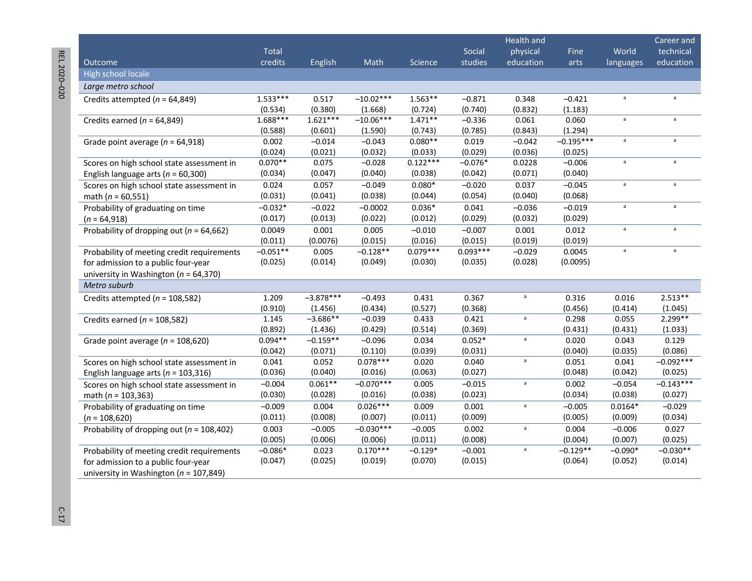REL 2020-020 REL 2020

|                                               |            |             |             |            |            | Health and   |             |              | Career and   |
|-----------------------------------------------|------------|-------------|-------------|------------|------------|--------------|-------------|--------------|--------------|
|                                               | Total      |             |             |            | Social     | physical     | Fine        | World        | technical    |
| Outcome                                       | credits    | English     | Math        | Science    | studies    | education    | arts        | languages    | education    |
| High school locale                            |            |             |             |            |            |              |             |              |              |
| Large metro school                            |            |             |             |            |            |              |             |              |              |
| Credits attempted ( $n = 64,849$ )            | $1.533***$ | 0.517       | $-10.02***$ | $1.563**$  | $-0.871$   | 0.348        | $-0.421$    | $\mathsf{a}$ | $\mathsf{a}$ |
|                                               | (0.534)    | (0.380)     | (1.668)     | (0.724)    | (0.740)    | (0.832)      | (1.183)     |              |              |
| Credits earned ( $n = 64,849$ )               | $1.688***$ | $1.621***$  | $-10.06***$ | $1.471**$  | $-0.336$   | 0.061        | 0.060       | $\mathsf a$  | $\mathsf a$  |
|                                               | (0.588)    | (0.601)     | (1.590)     | (0.743)    | (0.785)    | (0.843)      | (1.294)     |              |              |
| Grade point average ( $n = 64,918$ )          | 0.002      | $-0.014$    | $-0.043$    | $0.080**$  | 0.019      | $-0.042$     | $-0.195***$ | a            | $\mathsf{a}$ |
|                                               | (0.024)    | (0.021)     | (0.032)     | (0.033)    | (0.029)    | (0.036)      | (0.025)     |              |              |
| Scores on high school state assessment in     | $0.070**$  | 0.075       | $-0.028$    | $0.122***$ | $-0.076*$  | 0.0228       | $-0.006$    | $\mathsf a$  | $\mathsf a$  |
| English language arts ( $n = 60,300$ )        | (0.034)    | (0.047)     | (0.040)     | (0.038)    | (0.042)    | (0.071)      | (0.040)     |              |              |
| Scores on high school state assessment in     | 0.024      | 0.057       | $-0.049$    | $0.080*$   | $-0.020$   | 0.037        | $-0.045$    | $\mathsf a$  | $\mathsf{a}$ |
| math ( $n = 60,551$ )                         | (0.031)    | (0.041)     | (0.038)     | (0.044)    | (0.054)    | (0.040)      | (0.068)     |              |              |
| Probability of graduating on time             | $-0.032*$  | $-0.022$    | $-0.0002$   | $0.036*$   | 0.041      | $-0.036$     | $-0.019$    | $\mathsf a$  | $\mathsf a$  |
| $(n = 64,918)$                                | (0.017)    | (0.013)     | (0.022)     | (0.012)    | (0.029)    | (0.032)      | (0.029)     |              |              |
| Probability of dropping out ( $n = 64,662$ )  | 0.0049     | 0.001       | 0.005       | $-0.010$   | $-0.007$   | 0.001        | 0.012       | a            | $\mathsf{a}$ |
|                                               | (0.011)    | (0.0076)    | (0.015)     | (0.016)    | (0.015)    | (0.019)      | (0.019)     |              |              |
| Probability of meeting credit requirements    | $-0.051**$ | 0.005       | $-0.128**$  | $0.079***$ | $0.093***$ | $-0.029$     | 0.0045      | $\mathsf a$  | $\mathsf a$  |
| for admission to a public four-year           | (0.025)    | (0.014)     | (0.049)     | (0.030)    | (0.035)    | (0.028)      | (0.0095)    |              |              |
| university in Washington ( $n = 64,370$ )     |            |             |             |            |            |              |             |              |              |
| Metro suburb                                  |            |             |             |            |            |              |             |              |              |
| Credits attempted ( $n = 108,582$ )           | 1.209      | $-3.878***$ | $-0.493$    | 0.431      | 0.367      | $\mathsf{a}$ | 0.316       | 0.016        | $2.513**$    |
|                                               | (0.910)    | (1.456)     | (0.434)     | (0.527)    | (0.368)    |              | (0.456)     | (0.414)      | (1.045)      |
| Credits earned ( $n = 108,582$ )              | 1.145      | $-3.686**$  | $-0.039$    | 0.433      | 0.421      | a            | 0.298       | 0.055        | $2.299**$    |
|                                               | (0.892)    | (1.436)     | (0.429)     | (0.514)    | (0.369)    |              | (0.431)     | (0.431)      | (1.033)      |
| Grade point average ( $n = 108,620$ )         | $0.094**$  | $-0.159**$  | $-0.096$    | 0.034      | $0.052*$   | a            | 0.020       | 0.043        | 0.129        |
|                                               | (0.042)    | (0.071)     | (0.110)     | (0.039)    | (0.031)    |              | (0.040)     | (0.035)      | (0.086)      |
| Scores on high school state assessment in     | 0.041      | 0.052       | $0.078***$  | 0.020      | 0.040      | a            | 0.051       | 0.041        | $-0.092***$  |
| English language arts ( $n = 103,316$ )       | (0.036)    | (0.040)     | (0.016)     | (0.063)    | (0.027)    |              | (0.048)     | (0.042)      | (0.025)      |
| Scores on high school state assessment in     | $-0.004$   | $0.061**$   | $-0.070***$ | 0.005      | $-0.015$   | a            | 0.002       | $-0.054$     | $-0.143***$  |
| math ( $n = 103,363$ )                        | (0.030)    | (0.028)     | (0.016)     | (0.038)    | (0.023)    |              | (0.034)     | (0.038)      | (0.027)      |
| Probability of graduating on time             | $-0.009$   | 0.004       | $0.026***$  | 0.009      | 0.001      | a            | $-0.005$    | $0.0164*$    | $-0.029$     |
| $(n = 108,620)$                               | (0.011)    | (0.008)     | (0.007)     | (0.011)    | (0.009)    |              | (0.005)     | (0.009)      | (0.034)      |
| Probability of dropping out ( $n = 108,402$ ) | 0.003      | $-0.005$    | $-0.030***$ | $-0.005$   | 0.002      | $\mathsf a$  | 0.004       | $-0.006$     | 0.027        |
|                                               | (0.005)    | (0.006)     | (0.006)     | (0.011)    | (0.008)    |              | (0.004)     | (0.007)      | (0.025)      |
| Probability of meeting credit requirements    | $-0.086*$  | 0.023       | $0.170***$  | $-0.129*$  | $-0.001$   | $\mathsf a$  | $-0.129**$  | $-0.090*$    | $-0.030**$   |
| for admission to a public four-year           | (0.047)    | (0.025)     | (0.019)     | (0.070)    | (0.015)    |              | (0.064)     | (0.052)      | (0.014)      |
| university in Washington ( $n = 107,849$ )    |            |             |             |            |            |              |             |              |              |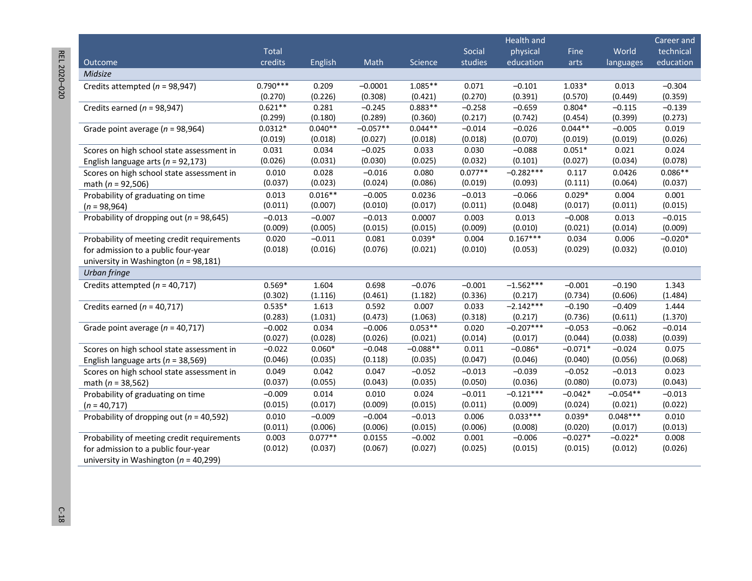REL 2020-020 REL 2020 –020 C-18

|                                              |              |           |            |            |           | Health and  |           |            | Career and |
|----------------------------------------------|--------------|-----------|------------|------------|-----------|-------------|-----------|------------|------------|
|                                              | <b>Total</b> |           |            |            | Social    | physical    | Fine      | World      | technical  |
| Outcome                                      | credits      | English   | Math       | Science    | studies   | education   | arts      | languages  | education  |
| Midsize                                      |              |           |            |            |           |             |           |            |            |
| Credits attempted ( $n = 98,947$ )           | $0.790***$   | 0.209     | $-0.0001$  | $1.085**$  | 0.071     | $-0.101$    | $1.033*$  | 0.013      | $-0.304$   |
|                                              | (0.270)      | (0.226)   | (0.308)    | (0.421)    | (0.270)   | (0.391)     | (0.570)   | (0.449)    | (0.359)    |
| Credits earned ( $n = 98,947$ )              | $0.621**$    | 0.281     | $-0.245$   | $0.883**$  | $-0.258$  | $-0.659$    | $0.804*$  | $-0.115$   | $-0.139$   |
|                                              | (0.299)      | (0.180)   | (0.289)    | (0.360)    | (0.217)   | (0.742)     | (0.454)   | (0.399)    | (0.273)    |
| Grade point average ( $n = 98,964$ )         | $0.0312*$    | $0.040**$ | $-0.057**$ | $0.044**$  | $-0.014$  | $-0.026$    | $0.044**$ | $-0.005$   | 0.019      |
|                                              | (0.019)      | (0.018)   | (0.027)    | (0.018)    | (0.018)   | (0.070)     | (0.019)   | (0.019)    | (0.026)    |
| Scores on high school state assessment in    | 0.031        | 0.034     | $-0.025$   | 0.033      | 0.030     | $-0.088$    | $0.051*$  | 0.021      | 0.024      |
| English language arts ( $n = 92,173$ )       | (0.026)      | (0.031)   | (0.030)    | (0.025)    | (0.032)   | (0.101)     | (0.027)   | (0.034)    | (0.078)    |
| Scores on high school state assessment in    | 0.010        | 0.028     | $-0.016$   | 0.080      | $0.077**$ | $-0.282***$ | 0.117     | 0.0426     | $0.086**$  |
| math ( $n = 92,506$ )                        | (0.037)      | (0.023)   | (0.024)    | (0.086)    | (0.019)   | (0.093)     | (0.111)   | (0.064)    | (0.037)    |
| Probability of graduating on time            | 0.013        | $0.016**$ | $-0.005$   | 0.0236     | $-0.013$  | $-0.066$    | $0.029*$  | 0.004      | 0.001      |
| $(n = 98,964)$                               | (0.011)      | (0.007)   | (0.010)    | (0.017)    | (0.011)   | (0.048)     | (0.017)   | (0.011)    | (0.015)    |
| Probability of dropping out ( $n = 98,645$ ) | $-0.013$     | $-0.007$  | $-0.013$   | 0.0007     | 0.003     | 0.013       | $-0.008$  | 0.013      | $-0.015$   |
|                                              | (0.009)      | (0.005)   | (0.015)    | (0.015)    | (0.009)   | (0.010)     | (0.021)   | (0.014)    | (0.009)    |
| Probability of meeting credit requirements   | 0.020        | $-0.011$  | 0.081      | $0.039*$   | 0.004     | $0.167***$  | 0.034     | 0.006      | $-0.020*$  |
| for admission to a public four-year          | (0.018)      | (0.016)   | (0.076)    | (0.021)    | (0.010)   | (0.053)     | (0.029)   | (0.032)    | (0.010)    |
| university in Washington ( $n = 98,181$ )    |              |           |            |            |           |             |           |            |            |
| Urban fringe                                 |              |           |            |            |           |             |           |            |            |
| Credits attempted ( $n = 40,717$ )           | $0.569*$     | 1.604     | 0.698      | $-0.076$   | $-0.001$  | $-1.562***$ | $-0.001$  | $-0.190$   | 1.343      |
|                                              | (0.302)      | (1.116)   | (0.461)    | (1.182)    | (0.336)   | (0.217)     | (0.734)   | (0.606)    | (1.484)    |
| Credits earned ( $n = 40,717$ )              | $0.535*$     | 1.613     | 0.592      | 0.007      | 0.033     | $-2.142***$ | $-0.190$  | $-0.409$   | 1.444      |
|                                              | (0.283)      | (1.031)   | (0.473)    | (1.063)    | (0.318)   | (0.217)     | (0.736)   | (0.611)    | (1.370)    |
| Grade point average ( $n = 40,717$ )         | $-0.002$     | 0.034     | $-0.006$   | $0.053**$  | 0.020     | $-0.207***$ | $-0.053$  | $-0.062$   | $-0.014$   |
|                                              | (0.027)      | (0.028)   | (0.026)    | (0.021)    | (0.014)   | (0.017)     | (0.044)   | (0.038)    | (0.039)    |
| Scores on high school state assessment in    | $-0.022$     | $0.060*$  | $-0.048$   | $-0.088**$ | 0.011     | $-0.086*$   | $-0.071*$ | $-0.024$   | 0.075      |
| English language arts ( $n = 38,569$ )       | (0.046)      | (0.035)   | (0.118)    | (0.035)    | (0.047)   | (0.046)     | (0.040)   | (0.056)    | (0.068)    |
| Scores on high school state assessment in    | 0.049        | 0.042     | 0.047      | $-0.052$   | $-0.013$  | $-0.039$    | $-0.052$  | $-0.013$   | 0.023      |
| math ( $n = 38,562$ )                        | (0.037)      | (0.055)   | (0.043)    | (0.035)    | (0.050)   | (0.036)     | (0.080)   | (0.073)    | (0.043)    |
| Probability of graduating on time            | $-0.009$     | 0.014     | 0.010      | 0.024      | $-0.011$  | $-0.121***$ | $-0.042*$ | $-0.054**$ | $-0.013$   |
| $(n = 40, 717)$                              | (0.015)      | (0.017)   | (0.009)    | (0.015)    | (0.011)   | (0.009)     | (0.024)   | (0.021)    | (0.022)    |
| Probability of dropping out ( $n = 40,592$ ) | 0.010        | $-0.009$  | $-0.004$   | $-0.013$   | 0.006     | $0.033***$  | $0.039*$  | $0.048***$ | 0.010      |
|                                              | (0.011)      | (0.006)   | (0.006)    | (0.015)    | (0.006)   | (0.008)     | (0.020)   | (0.017)    | (0.013)    |
| Probability of meeting credit requirements   | 0.003        | $0.077**$ | 0.0155     | $-0.002$   | 0.001     | $-0.006$    | $-0.027*$ | $-0.022*$  | 0.008      |
| for admission to a public four-year          | (0.012)      | (0.037)   | (0.067)    | (0.027)    | (0.025)   | (0.015)     | (0.015)   | (0.012)    | (0.026)    |
| university in Washington ( $n = 40,299$ )    |              |           |            |            |           |             |           |            |            |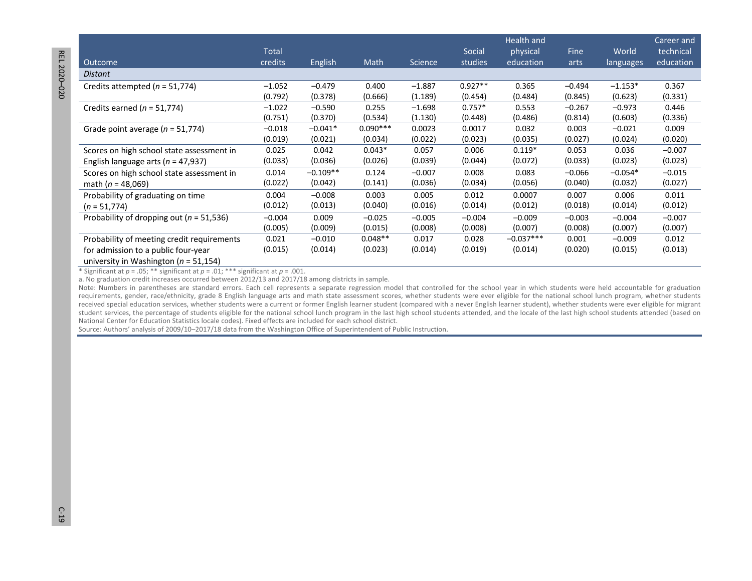|                                              | <b>Total</b> |                |            |                | Social    | Health and<br>physical | <b>Fine</b> | World     | Career and<br>technical |
|----------------------------------------------|--------------|----------------|------------|----------------|-----------|------------------------|-------------|-----------|-------------------------|
|                                              | credits      |                | Math       | <b>Science</b> | studies   | education              |             |           |                         |
| Outcome                                      |              | <b>English</b> |            |                |           |                        | arts        | languages | education               |
| Distant                                      |              |                |            |                |           |                        |             |           |                         |
| Credits attempted ( $n = 51,774$ )           | $-1.052$     | $-0.479$       | 0.400      | $-1.887$       | $0.927**$ | 0.365                  | $-0.494$    | $-1.153*$ | 0.367                   |
|                                              | (0.792)      | (0.378)        | (0.666)    | (1.189)        | (0.454)   | (0.484)                | (0.845)     | (0.623)   | (0.331)                 |
| Credits earned ( $n = 51,774$ )              | $-1.022$     | $-0.590$       | 0.255      | $-1.698$       | $0.757*$  | 0.553                  | $-0.267$    | $-0.973$  | 0.446                   |
|                                              | (0.751)      | (0.370)        | (0.534)    | (1.130)        | (0.448)   | (0.486)                | (0.814)     | (0.603)   | (0.336)                 |
| Grade point average ( $n = 51,774$ )         | $-0.018$     | $-0.041*$      | $0.090***$ | 0.0023         | 0.0017    | 0.032                  | 0.003       | $-0.021$  | 0.009                   |
|                                              | (0.019)      | (0.021)        | (0.034)    | (0.022)        | (0.023)   | (0.035)                | (0.027)     | (0.024)   | (0.020)                 |
| Scores on high school state assessment in    | 0.025        | 0.042          | $0.043*$   | 0.057          | 0.006     | $0.119*$               | 0.053       | 0.036     | $-0.007$                |
| English language arts ( $n = 47,937$ )       | (0.033)      | (0.036)        | (0.026)    | (0.039)        | (0.044)   | (0.072)                | (0.033)     | (0.023)   | (0.023)                 |
| Scores on high school state assessment in    | 0.014        | $-0.109**$     | 0.124      | $-0.007$       | 0.008     | 0.083                  | $-0.066$    | $-0.054*$ | $-0.015$                |
| math ( $n = 48,069$ )                        | (0.022)      | (0.042)        | (0.141)    | (0.036)        | (0.034)   | (0.056)                | (0.040)     | (0.032)   | (0.027)                 |
| Probability of graduating on time            | 0.004        | $-0.008$       | 0.003      | 0.005          | 0.012     | 0.0007                 | 0.007       | 0.006     | 0.011                   |
| $(n = 51,774)$                               | (0.012)      | (0.013)        | (0.040)    | (0.016)        | (0.014)   | (0.012)                | (0.018)     | (0.014)   | (0.012)                 |
| Probability of dropping out ( $n = 51,536$ ) | $-0.004$     | 0.009          | $-0.025$   | $-0.005$       | $-0.004$  | $-0.009$               | $-0.003$    | $-0.004$  | $-0.007$                |
|                                              | (0.005)      | (0.009)        | (0.015)    | (0.008)        | (0.008)   | (0.007)                | (0.008)     | (0.007)   | (0.007)                 |
| Probability of meeting credit requirements   | 0.021        | $-0.010$       | $0.048**$  | 0.017          | 0.028     | $-0.037***$            | 0.001       | $-0.009$  | 0.012                   |
| for admission to a public four-year          | (0.015)      | (0.014)        | (0.023)    | (0.014)        | (0.019)   | (0.014)                | (0.020)     | (0.015)   | (0.013)                 |
| university in Washington ( $n = 51,154$ )    |              |                |            |                |           |                        |             |           |                         |

\* Significant at  $p = .05$ ; \*\* significant at  $p = .01$ ; \*\*\* significant at  $p = .001$ .

a. No graduation credit increases occurred between 2012/13 and 2017/18 among districts in sample.

Note: Numbers in parentheses are standard errors. Each cell represents a separate regression model that controlled for the school year in which students were held accountable for graduation student services, the percentage of students eligible for the national school lunch program in the last high school students attended, and the locale of the last high school students attended (based on National Center for Education Statistics locale codes). Fixed effects are included for each school district. requirements, gender, race/ethnicity, grade 8 English language arts and math state assessment scores, whether students were ever eligible for the national school lunch program, whether students received special education services, whether students were a current or former English learner student (compared with a never English learner student), whether students were ever eligible for migrant

Source: Authors' analysis of 2009/10–2017/18 data from the Washington Office of Superintendent of Public Instruction.